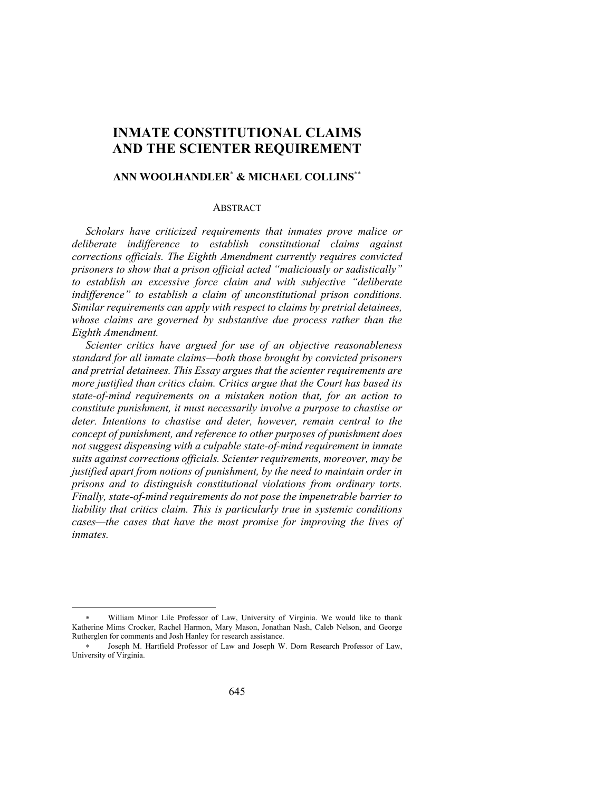# **INMATE CONSTITUTIONAL CLAIMS AND THE SCIENTER REQUIREMENT**

# **ANN WOOLHANDLER**\* **& MICHAEL COLLINS**\*\*

### **ABSTRACT**

*Scholars have criticized requirements that inmates prove malice or deliberate indifference to establish constitutional claims against corrections officials. The Eighth Amendment currently requires convicted prisoners to show that a prison official acted "maliciously or sadistically" to establish an excessive force claim and with subjective "deliberate indifference" to establish a claim of unconstitutional prison conditions. Similar requirements can apply with respect to claims by pretrial detainees, whose claims are governed by substantive due process rather than the Eighth Amendment.*

*Scienter critics have argued for use of an objective reasonableness standard for all inmate claims—both those brought by convicted prisoners and pretrial detainees. This Essay argues that the scienter requirements are more justified than critics claim. Critics argue that the Court has based its state-of-mind requirements on a mistaken notion that, for an action to constitute punishment, it must necessarily involve a purpose to chastise or deter. Intentions to chastise and deter, however, remain central to the concept of punishment, and reference to other purposes of punishment does not suggest dispensing with a culpable state-of-mind requirement in inmate suits against corrections officials. Scienter requirements, moreover, may be justified apart from notions of punishment, by the need to maintain order in prisons and to distinguish constitutional violations from ordinary torts. Finally, state-of-mind requirements do not pose the impenetrable barrier to liability that critics claim. This is particularly true in systemic conditions cases—the cases that have the most promise for improving the lives of inmates.*

William Minor Lile Professor of Law, University of Virginia. We would like to thank Katherine Mims Crocker, Rachel Harmon, Mary Mason, Jonathan Nash, Caleb Nelson, and George Rutherglen for comments and Josh Hanley for research assistance.

<sup>\*</sup> Joseph M. Hartfield Professor of Law and Joseph W. Dorn Research Professor of Law, University of Virginia.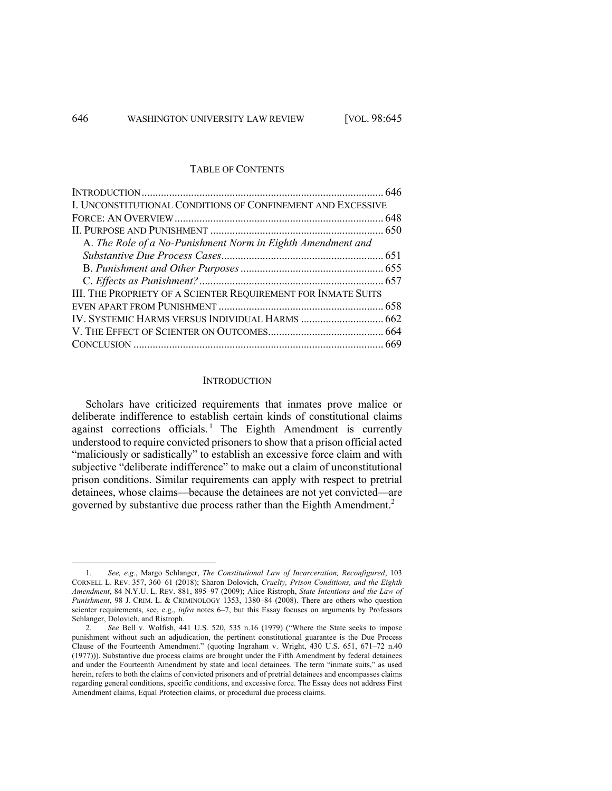#### TABLE OF CONTENTS

| I. UNCONSTITUTIONAL CONDITIONS OF CONFINEMENT AND EXCESSIVE   |  |
|---------------------------------------------------------------|--|
|                                                               |  |
|                                                               |  |
| A. The Role of a No-Punishment Norm in Eighth Amendment and   |  |
|                                                               |  |
|                                                               |  |
|                                                               |  |
| III. THE PROPRIETY OF A SCIENTER REQUIREMENT FOR INMATE SUITS |  |
|                                                               |  |
|                                                               |  |
|                                                               |  |
|                                                               |  |

#### **INTRODUCTION**

Scholars have criticized requirements that inmates prove malice or deliberate indifference to establish certain kinds of constitutional claims against corrections officials.<sup>1</sup> The Eighth Amendment is currently understood to require convicted prisoners to show that a prison official acted "maliciously or sadistically" to establish an excessive force claim and with subjective "deliberate indifference" to make out a claim of unconstitutional prison conditions. Similar requirements can apply with respect to pretrial detainees, whose claims—because the detainees are not yet convicted—are governed by substantive due process rather than the Eighth Amendment. 2

<sup>1.</sup> *See, e.g.*, Margo Schlanger, *The Constitutional Law of Incarceration, Reconfigured*, 103 CORNELL L. REV. 357, 360–61 (2018); Sharon Dolovich, *Cruelty, Prison Conditions, and the Eighth Amendment*, 84 N.Y.U. L. REV. 881, 895–97 (2009); Alice Ristroph, *State Intentions and the Law of Punishment*, 98 J. CRIM. L. & CRIMINOLOGY 1353, 1380–84 (2008). There are others who question scienter requirements, see, e.g., *infra* notes 6–7, but this Essay focuses on arguments by Professors Schlanger, Dolovich, and Ristroph.

<sup>2.</sup> *See* Bell v. Wolfish, 441 U.S. 520, 535 n.16 (1979) ("Where the State seeks to impose punishment without such an adjudication, the pertinent constitutional guarantee is the Due Process Clause of the Fourteenth Amendment." (quoting Ingraham v. Wright, 430 U.S. 651, 671–72 n.40 (1977))). Substantive due process claims are brought under the Fifth Amendment by federal detainees and under the Fourteenth Amendment by state and local detainees. The term "inmate suits," as used herein, refers to both the claims of convicted prisoners and of pretrial detainees and encompasses claims regarding general conditions, specific conditions, and excessive force. The Essay does not address First Amendment claims, Equal Protection claims, or procedural due process claims.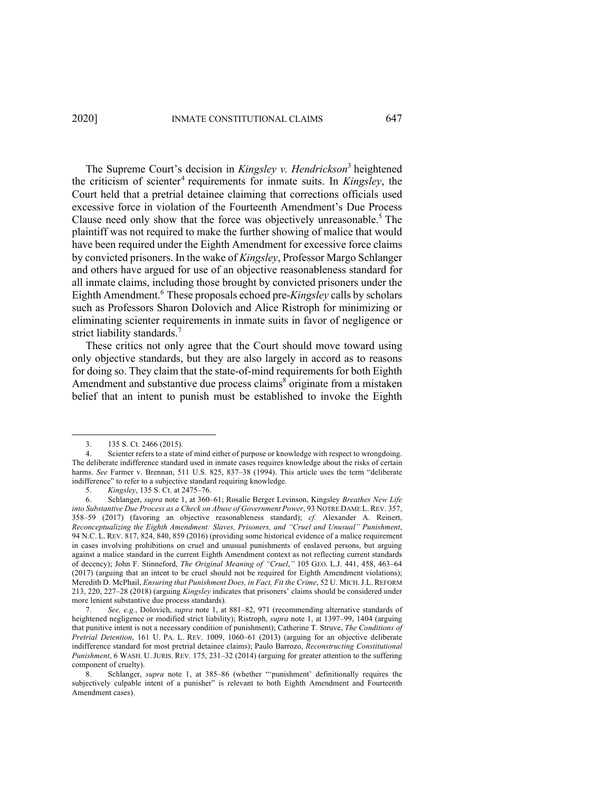The Supreme Court's decision in *Kingsley v. Hendrickson*<sup>3</sup> heightened the criticism of scienter<sup>4</sup> requirements for inmate suits. In *Kingsley*, the Court held that a pretrial detainee claiming that corrections officials used excessive force in violation of the Fourteenth Amendment's Due Process Clause need only show that the force was objectively unreasonable. <sup>5</sup> The plaintiff was not required to make the further showing of malice that would have been required under the Eighth Amendment for excessive force claims by convicted prisoners. In the wake of *Kingsley*, Professor Margo Schlanger and others have argued for use of an objective reasonableness standard for all inmate claims, including those brought by convicted prisoners under the Eighth Amendment. <sup>6</sup> These proposals echoed pre-*Kingsley* calls by scholars such as Professors Sharon Dolovich and Alice Ristroph for minimizing or eliminating scienter requirements in inmate suits in favor of negligence or strict liability standards.<sup>7</sup>

These critics not only agree that the Court should move toward using only objective standards, but they are also largely in accord as to reasons for doing so. They claim that the state-of-mind requirements for both Eighth Amendment and substantive due process claims<sup>8</sup> originate from a mistaken belief that an intent to punish must be established to invoke the Eighth

<sup>3.</sup> 135 S. Ct. 2466 (2015).

<sup>4.</sup> Scienter refers to a state of mind either of purpose or knowledge with respect to wrongdoing. The deliberate indifference standard used in inmate cases requires knowledge about the risks of certain harms. *See* Farmer v. Brennan, 511 U.S. 825, 837–38 (1994). This article uses the term "deliberate indifference" to refer to a subjective standard requiring knowledge.

<sup>5.</sup> *Kingsley*, 135 S. Ct. at 2475–76.

<sup>6.</sup> Schlanger, *supra* note 1, at 360–61; Rosalie Berger Levinson, Kingsley *Breathes New Life into Substantive Due Process as a Check on Abuse of Government Power*, 93 NOTRE DAME L. REV. 357, 358–59 (2017) (favoring an objective reasonableness standard); *cf.* Alexander A. Reinert, *Reconceptualizing the Eighth Amendment: Slaves, Prisoners, and "Cruel and Unusual" Punishment*, 94 N.C. L. REV. 817, 824, 840, 859 (2016) (providing some historical evidence of a malice requirement in cases involving prohibitions on cruel and unusual punishments of enslaved persons, but arguing against a malice standard in the current Eighth Amendment context as not reflecting current standards of decency); John F. Stinneford, *The Original Meaning of "Cruel*,*"* 105 GEO. L.J. 441, 458, 463–64 (2017) (arguing that an intent to be cruel should not be required for Eighth Amendment violations); Meredith D. McPhail, *Ensuring that Punishment Does, in Fact, Fit the Crime*, 52 U. MICH.J.L. REFORM 213, 220, 227–28 (2018) (arguing *Kingsley* indicates that prisoners' claims should be considered under more lenient substantive due process standards).

<sup>7.</sup> *See, e.g.*, Dolovich, *supra* note 1, at 881–82, 971 (recommending alternative standards of heightened negligence or modified strict liability); Ristroph, *supra* note 1, at 1397–99, 1404 (arguing that punitive intent is not a necessary condition of punishment); Catherine T. Struve, *The Conditions of Pretrial Detention*, 161 U. PA. L. REV. 1009, 1060–61 (2013) (arguing for an objective deliberate indifference standard for most pretrial detainee claims); Paulo Barrozo, *Reconstructing Constitutional Punishment*, 6 WASH. U. JURIS. REV. 175, 231–32 (2014) (arguing for greater attention to the suffering component of cruelty).

<sup>8.</sup> Schlanger, *supra* note 1, at 385–86 (whether "'punishment' definitionally requires the subjectively culpable intent of a punisher" is relevant to both Eighth Amendment and Fourteenth Amendment cases).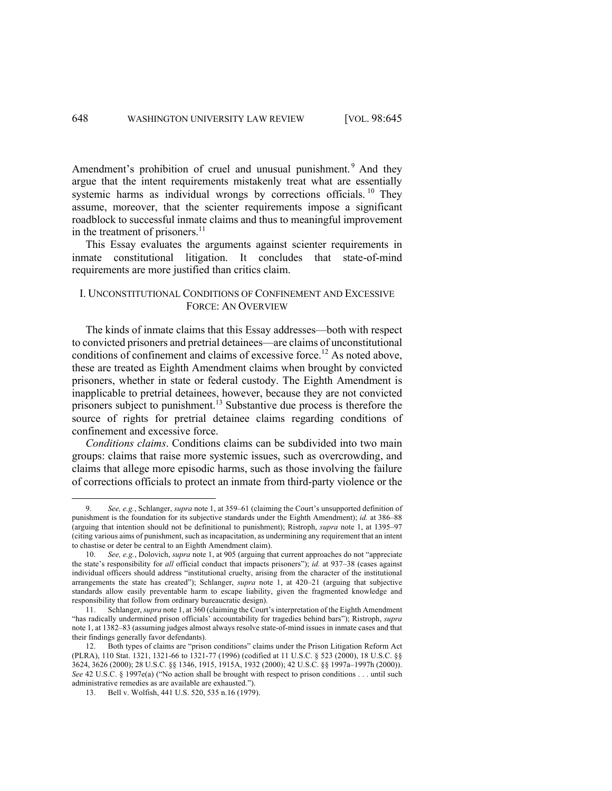Amendment's prohibition of cruel and unusual punishment.<sup>9</sup> And they argue that the intent requirements mistakenly treat what are essentially systemic harms as individual wrongs by corrections officials. <sup>10</sup> They assume, moreover, that the scienter requirements impose a significant roadblock to successful inmate claims and thus to meaningful improvement in the treatment of prisoners.<sup>11</sup>

This Essay evaluates the arguments against scienter requirements in inmate constitutional litigation. It concludes that state-of-mind requirements are more justified than critics claim.

# I. UNCONSTITUTIONAL CONDITIONS OF CONFINEMENT AND EXCESSIVE FORCE: AN OVERVIEW

The kinds of inmate claims that this Essay addresses—both with respect to convicted prisoners and pretrial detainees—are claims of unconstitutional conditions of confinement and claims of excessive force. <sup>12</sup> As noted above, these are treated as Eighth Amendment claims when brought by convicted prisoners, whether in state or federal custody. The Eighth Amendment is inapplicable to pretrial detainees, however, because they are not convicted prisoners subject to punishment.<sup>13</sup> Substantive due process is therefore the source of rights for pretrial detainee claims regarding conditions of confinement and excessive force.

*Conditions claims*. Conditions claims can be subdivided into two main groups: claims that raise more systemic issues, such as overcrowding, and claims that allege more episodic harms, such as those involving the failure of corrections officials to protect an inmate from third-party violence or the

<sup>9.</sup> *See, e.g.*, Schlanger, *supra* note 1, at 359–61 (claiming the Court's unsupported definition of punishment is the foundation for its subjective standards under the Eighth Amendment); *id.* at 386–88 (arguing that intention should not be definitional to punishment); Ristroph, *supra* note 1, at 1395–97 (citing various aims of punishment, such as incapacitation, as undermining any requirement that an intent to chastise or deter be central to an Eighth Amendment claim).

<sup>10.</sup> *See, e.g.*, Dolovich, *supra* note 1, at 905 (arguing that current approaches do not "appreciate the state's responsibility for *all* official conduct that impacts prisoners"); *id.* at 937–38 (cases against individual officers should address "institutional cruelty, arising from the character of the institutional arrangements the state has created"); Schlanger, *supra* note 1, at 420–21 (arguing that subjective standards allow easily preventable harm to escape liability, given the fragmented knowledge and responsibility that follow from ordinary bureaucratic design).

<sup>11.</sup> Schlanger, *supra* note 1, at 360 (claiming the Court's interpretation of the Eighth Amendment "has radically undermined prison officials' accountability for tragedies behind bars"); Ristroph, *supra*  note 1, at 1382–83 (assuming judges almost always resolve state-of-mind issues in inmate cases and that their findings generally favor defendants).

<sup>12.</sup> Both types of claims are "prison conditions" claims under the Prison Litigation Reform Act (PLRA), 110 Stat. 1321, 1321-66 to 1321-77 (1996) (codified at 11 U.S.C. § 523 (2000), 18 U.S.C. §§ 3624, 3626 (2000); 28 U.S.C. §§ 1346, 1915, 1915A, 1932 (2000); 42 U.S.C. §§ 1997a–1997h (2000)). *See* 42 U.S.C. § 1997e(a) ("No action shall be brought with respect to prison conditions . . . until such administrative remedies as are available are exhausted.").

<sup>13.</sup> Bell v. Wolfish, 441 U.S. 520, 535 n.16 (1979).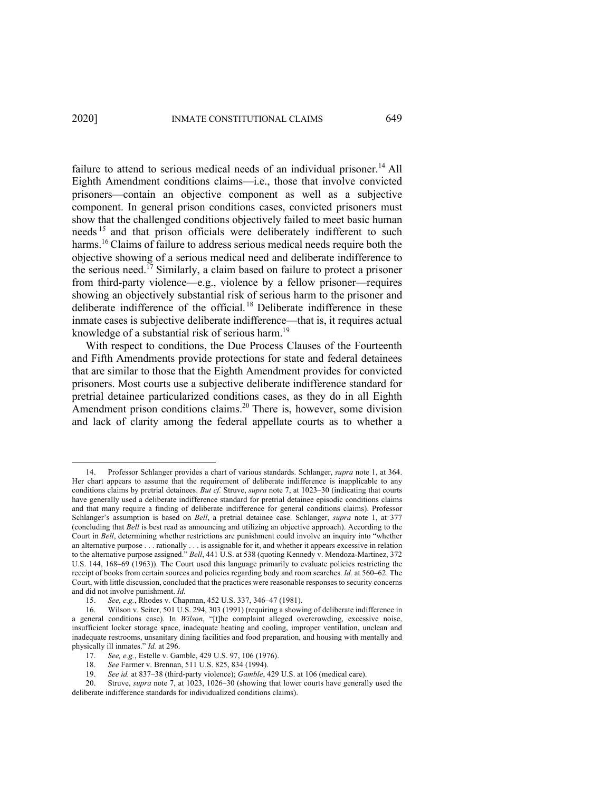failure to attend to serious medical needs of an individual prisoner.<sup>14</sup> All Eighth Amendment conditions claims—i.e., those that involve convicted prisoners—contain an objective component as well as a subjective component. In general prison conditions cases, convicted prisoners must show that the challenged conditions objectively failed to meet basic human needs<sup>15</sup> and that prison officials were deliberately indifferent to such harms.<sup>16</sup> Claims of failure to address serious medical needs require both the objective showing of a serious medical need and deliberate indifference to the serious need.<sup>17</sup> Similarly, a claim based on failure to protect a prisoner from third-party violence—e.g., violence by a fellow prisoner—requires showing an objectively substantial risk of serious harm to the prisoner and deliberate indifference of the official. <sup>18</sup> Deliberate indifference in these inmate cases is subjective deliberate indifference—that is, it requires actual knowledge of a substantial risk of serious harm.<sup>19</sup>

With respect to conditions, the Due Process Clauses of the Fourteenth and Fifth Amendments provide protections for state and federal detainees that are similar to those that the Eighth Amendment provides for convicted prisoners. Most courts use a subjective deliberate indifference standard for pretrial detainee particularized conditions cases, as they do in all Eighth Amendment prison conditions claims.<sup>20</sup> There is, however, some division and lack of clarity among the federal appellate courts as to whether a

<sup>14.</sup> Professor Schlanger provides a chart of various standards. Schlanger, *supra* note 1, at 364. Her chart appears to assume that the requirement of deliberate indifference is inapplicable to any conditions claims by pretrial detainees. *But cf.* Struve, *supra* note 7, at 1023–30 (indicating that courts have generally used a deliberate indifference standard for pretrial detainee episodic conditions claims and that many require a finding of deliberate indifference for general conditions claims). Professor Schlanger's assumption is based on *Bell*, a pretrial detainee case. Schlanger, *supra* note 1, at 377 (concluding that *Bell* is best read as announcing and utilizing an objective approach). According to the Court in *Bell*, determining whether restrictions are punishment could involve an inquiry into "whether an alternative purpose . . . rationally . . . is assignable for it, and whether it appears excessive in relation to the alternative purpose assigned." *Bell*, 441 U.S. at 538 (quoting Kennedy v. Mendoza-Martinez, 372 U.S. 144, 168–69 (1963)). The Court used this language primarily to evaluate policies restricting the receipt of books from certain sources and policies regarding body and room searches. *Id.* at 560–62. The Court, with little discussion, concluded that the practices were reasonable responses to security concerns and did not involve punishment. *Id.*

<sup>15.</sup> *See, e.g.*, Rhodes v. Chapman, 452 U.S. 337, 346–47 (1981).

<sup>16.</sup> Wilson v. Seiter, 501 U.S. 294, 303 (1991) (requiring a showing of deliberate indifference in a general conditions case). In *Wilson*, "[t]he complaint alleged overcrowding, excessive noise, insufficient locker storage space, inadequate heating and cooling, improper ventilation, unclean and inadequate restrooms, unsanitary dining facilities and food preparation, and housing with mentally and physically ill inmates." *Id.* at 296.

<sup>17.</sup> *See, e.g.*, Estelle v. Gamble, 429 U.S. 97, 106 (1976).

<sup>18.</sup> *See* Farmer v. Brennan, 511 U.S. 825, 834 (1994).

<sup>19.</sup> *See id.* at 837–38 (third-party violence); *Gamble*, 429 U.S. at 106 (medical care).

<sup>20.</sup> Struve, *supra* note 7, at 1023, 1026–30 (showing that lower courts have generally used the deliberate indifference standards for individualized conditions claims).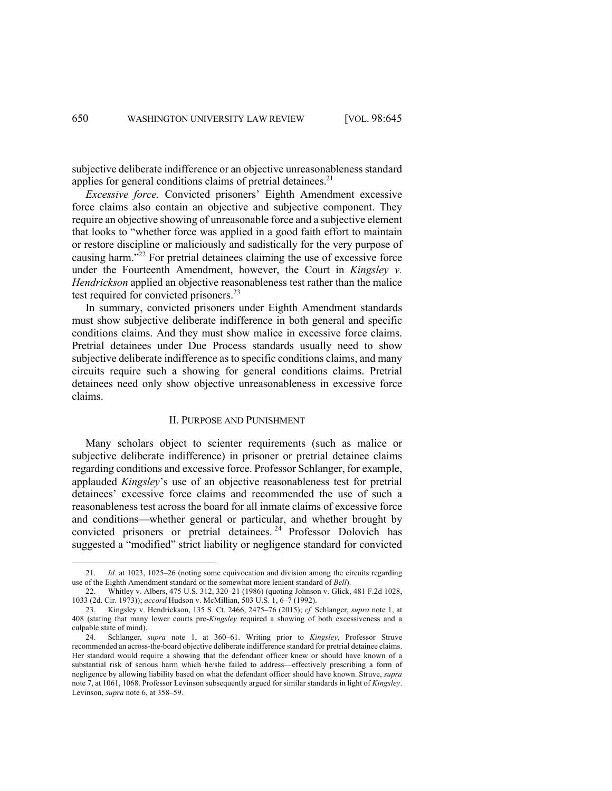subjective deliberate indifference or an objective unreasonableness standard applies for general conditions claims of pretrial detainees.<sup>21</sup>

*Excessive force.* Convicted prisoners' Eighth Amendment excessive force claims also contain an objective and subjective component. They require an objective showing of unreasonable force and a subjective element that looks to "whether force was applied in a good faith effort to maintain or restore discipline or maliciously and sadistically for the very purpose of causing harm."22 For pretrial detainees claiming the use of excessive force under the Fourteenth Amendment, however, the Court in *Kingsley v. Hendrickson* applied an objective reasonableness test rather than the malice test required for convicted prisoners.<sup>23</sup>

In summary, convicted prisoners under Eighth Amendment standards must show subjective deliberate indifference in both general and specific conditions claims. And they must show malice in excessive force claims. Pretrial detainees under Due Process standards usually need to show subjective deliberate indifference as to specific conditions claims, and many circuits require such a showing for general conditions claims. Pretrial detainees need only show objective unreasonableness in excessive force claims.

### II. PURPOSE AND PUNISHMENT

Many scholars object to scienter requirements (such as malice or subjective deliberate indifference) in prisoner or pretrial detainee claims regarding conditions and excessive force. Professor Schlanger, for example, applauded *Kingsley*'s use of an objective reasonableness test for pretrial detainees' excessive force claims and recommended the use of such a reasonableness test across the board for all inmate claims of excessive force and conditions—whether general or particular, and whether brought by convicted prisoners or pretrial detainees.<sup>24</sup> Professor Dolovich has suggested a "modified" strict liability or negligence standard for convicted

<sup>21.</sup> *Id.* at 1023, 1025–26 (noting some equivocation and division among the circuits regarding use of the Eighth Amendment standard or the somewhat more lenient standard of *Bell*).

<sup>22.</sup> Whitley v. Albers, 475 U.S. 312, 320–21 (1986) (quoting Johnson v. Glick, 481 F.2d 1028, 1033 (2d. Cir. 1973)); *accord* Hudson v. McMillian, 503 U.S. 1, 6–7 (1992).

<sup>23.</sup> Kingsley v. Hendrickson, 135 S. Ct. 2466, 2475–76 (2015); *cf.* Schlanger, *supra* note 1, at 408 (stating that many lower courts pre-*Kingsley* required a showing of both excessiveness and a culpable state of mind).

<sup>24.</sup> Schlanger, *supra* note 1, at 360–61. Writing prior to *Kingsley*, Professor Struve recommended an across-the-board objective deliberate indifference standard for pretrial detainee claims. Her standard would require a showing that the defendant officer knew or should have known of a substantial risk of serious harm which he/she failed to address—effectively prescribing a form of negligence by allowing liability based on what the defendant officer should have known. Struve, *supra* note 7, at 1061, 1068. Professor Levinson subsequently argued for similar standards in light of *Kingsley*. Levinson, *supra* note 6, at 358–59.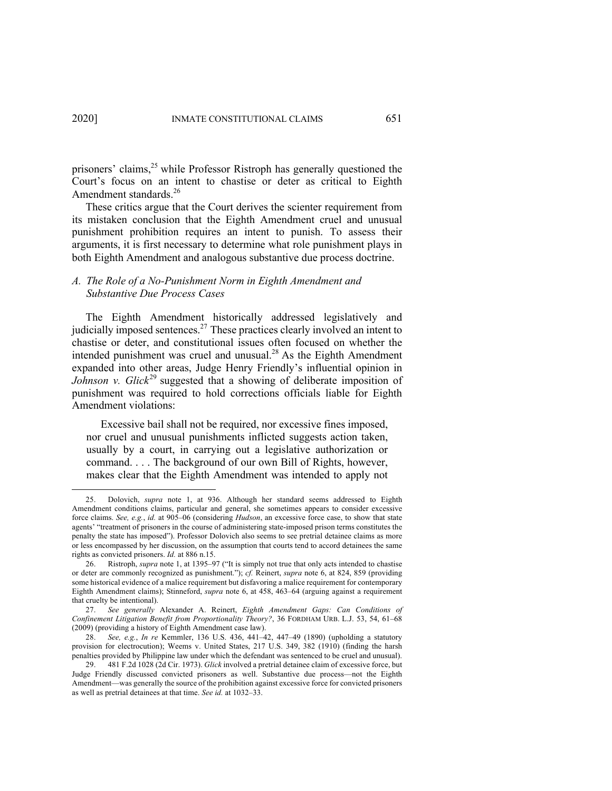prisoners' claims, $^{25}$  while Professor Ristroph has generally questioned the Court's focus on an intent to chastise or deter as critical to Eighth Amendment standards.<sup>26</sup>

These critics argue that the Court derives the scienter requirement from its mistaken conclusion that the Eighth Amendment cruel and unusual punishment prohibition requires an intent to punish. To assess their arguments, it is first necessary to determine what role punishment plays in both Eighth Amendment and analogous substantive due process doctrine.

# *A. The Role of a No-Punishment Norm in Eighth Amendment and Substantive Due Process Cases*

The Eighth Amendment historically addressed legislatively and judicially imposed sentences.<sup>27</sup> These practices clearly involved an intent to chastise or deter, and constitutional issues often focused on whether the intended punishment was cruel and unusual. $^{28}$  As the Eighth Amendment expanded into other areas, Judge Henry Friendly's influential opinion in *Johnson v. Glick*<sup>29</sup> suggested that a showing of deliberate imposition of punishment was required to hold corrections officials liable for Eighth Amendment violations:

Excessive bail shall not be required, nor excessive fines imposed, nor cruel and unusual punishments inflicted suggests action taken, usually by a court, in carrying out a legislative authorization or command. . . . The background of our own Bill of Rights, however, makes clear that the Eighth Amendment was intended to apply not

<sup>25.</sup> Dolovich, *supra* note 1, at 936. Although her standard seems addressed to Eighth Amendment conditions claims, particular and general, she sometimes appears to consider excessive force claims. *See, e.g.*, *id.* at 905–06 (considering *Hudson*, an excessive force case, to show that state agents' "treatment of prisoners in the course of administering state-imposed prison terms constitutes the penalty the state has imposed"). Professor Dolovich also seems to see pretrial detainee claims as more or less encompassed by her discussion, on the assumption that courts tend to accord detainees the same rights as convicted prisoners. *Id.* at 886 n.15.

<sup>26.</sup> Ristroph, *supra* note 1, at 1395–97 ("It is simply not true that only acts intended to chastise or deter are commonly recognized as punishment."); *cf.* Reinert, *supra* note 6, at 824, 859 (providing some historical evidence of a malice requirement but disfavoring a malice requirement for contemporary Eighth Amendment claims); Stinneford, *supra* note 6, at 458, 463–64 (arguing against a requirement that cruelty be intentional).

<sup>27.</sup> *See generally* Alexander A. Reinert, *Eighth Amendment Gaps: Can Conditions of Confinement Litigation Benefit from Proportionality Theory?*, 36 FORDHAM URB. L.J. 53, 54, 61–68 (2009) (providing a history of Eighth Amendment case law).

<sup>28.</sup> *See, e.g.*, *In re* Kemmler, 136 U.S. 436, 441–42, 447–49 (1890) (upholding a statutory provision for electrocution); Weems v. United States, 217 U.S. 349, 382 (1910) (finding the harsh penalties provided by Philippine law under which the defendant was sentenced to be cruel and unusual).

<sup>29.</sup> 481 F.2d 1028 (2d Cir. 1973). *Glick* involved a pretrial detainee claim of excessive force, but Judge Friendly discussed convicted prisoners as well. Substantive due process—not the Eighth Amendment—was generally the source of the prohibition against excessive force for convicted prisoners as well as pretrial detainees at that time. *See id.* at 1032–33.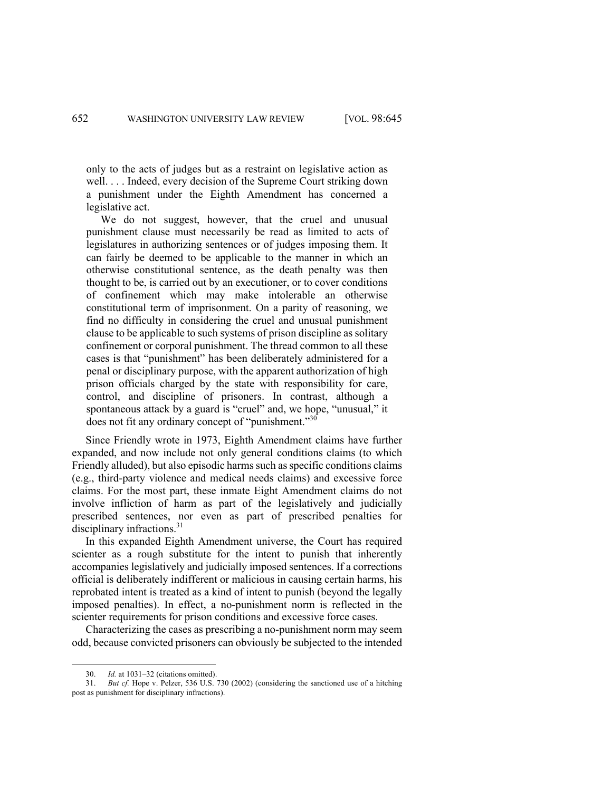only to the acts of judges but as a restraint on legislative action as well. . . . Indeed, every decision of the Supreme Court striking down a punishment under the Eighth Amendment has concerned a legislative act.

We do not suggest, however, that the cruel and unusual punishment clause must necessarily be read as limited to acts of legislatures in authorizing sentences or of judges imposing them. It can fairly be deemed to be applicable to the manner in which an otherwise constitutional sentence, as the death penalty was then thought to be, is carried out by an executioner, or to cover conditions of confinement which may make intolerable an otherwise constitutional term of imprisonment. On a parity of reasoning, we find no difficulty in considering the cruel and unusual punishment clause to be applicable to such systems of prison discipline as solitary confinement or corporal punishment. The thread common to all these cases is that "punishment" has been deliberately administered for a penal or disciplinary purpose, with the apparent authorization of high prison officials charged by the state with responsibility for care, control, and discipline of prisoners. In contrast, although a spontaneous attack by a guard is "cruel" and, we hope, "unusual," it does not fit any ordinary concept of "punishment."<sup>30</sup>

Since Friendly wrote in 1973, Eighth Amendment claims have further expanded, and now include not only general conditions claims (to which Friendly alluded), but also episodic harms such as specific conditions claims (e.g., third-party violence and medical needs claims) and excessive force claims. For the most part, these inmate Eight Amendment claims do not involve infliction of harm as part of the legislatively and judicially prescribed sentences, nor even as part of prescribed penalties for disciplinary infractions.<sup>31</sup>

In this expanded Eighth Amendment universe, the Court has required scienter as a rough substitute for the intent to punish that inherently accompanies legislatively and judicially imposed sentences. If a corrections official is deliberately indifferent or malicious in causing certain harms, his reprobated intent is treated as a kind of intent to punish (beyond the legally imposed penalties). In effect, a no-punishment norm is reflected in the scienter requirements for prison conditions and excessive force cases.

Characterizing the cases as prescribing a no-punishment norm may seem odd, because convicted prisoners can obviously be subjected to the intended

<sup>30.</sup> *Id.* at 1031–32 (citations omitted).

<sup>31.</sup> *But cf.* Hope v. Pelzer, 536 U.S. 730 (2002) (considering the sanctioned use of a hitching post as punishment for disciplinary infractions).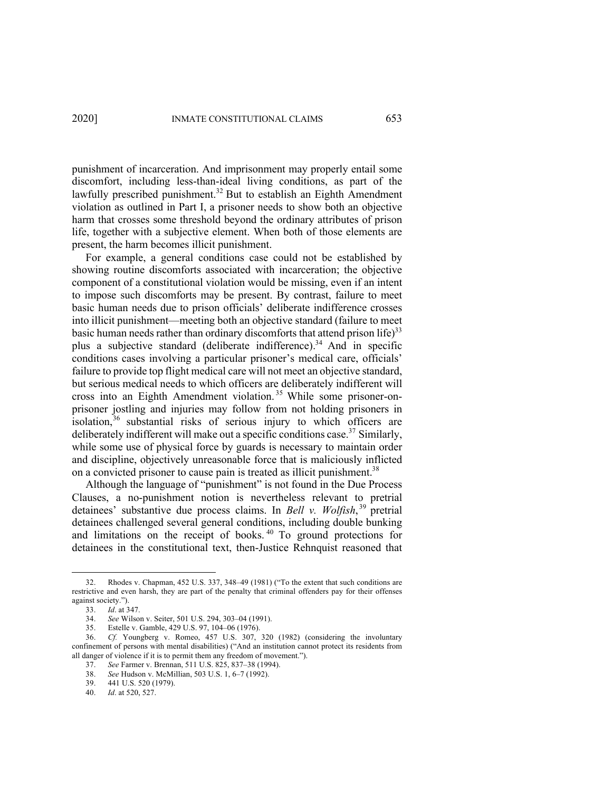punishment of incarceration. And imprisonment may properly entail some discomfort, including less-than-ideal living conditions, as part of the lawfully prescribed punishment. <sup>32</sup> But to establish an Eighth Amendment violation as outlined in Part I, a prisoner needs to show both an objective harm that crosses some threshold beyond the ordinary attributes of prison life, together with a subjective element. When both of those elements are present, the harm becomes illicit punishment.

For example, a general conditions case could not be established by showing routine discomforts associated with incarceration; the objective component of a constitutional violation would be missing, even if an intent to impose such discomforts may be present. By contrast, failure to meet basic human needs due to prison officials' deliberate indifference crosses into illicit punishment—meeting both an objective standard (failure to meet basic human needs rather than ordinary discomforts that attend prison life)<sup>33</sup> plus a subjective standard (deliberate indifference).<sup>34</sup> And in specific conditions cases involving a particular prisoner's medical care, officials' failure to provide top flight medical care will not meet an objective standard, but serious medical needs to which officers are deliberately indifferent will cross into an Eighth Amendment violation. <sup>35</sup> While some prisoner-onprisoner jostling and injuries may follow from not holding prisoners in isolation,<sup>36</sup> substantial risks of serious injury to which officers are deliberately indifferent will make out a specific conditions case.<sup>37</sup> Similarly, while some use of physical force by guards is necessary to maintain order and discipline, objectively unreasonable force that is maliciously inflicted on a convicted prisoner to cause pain is treated as illicit punishment.<sup>38</sup>

Although the language of "punishment" is not found in the Due Process Clauses, a no-punishment notion is nevertheless relevant to pretrial detainees' substantive due process claims. In *Bell v. Wolfish*, <sup>39</sup> pretrial detainees challenged several general conditions, including double bunking and limitations on the receipt of books. <sup>40</sup> To ground protections for detainees in the constitutional text, then-Justice Rehnquist reasoned that

<sup>32.</sup> Rhodes v. Chapman, 452 U.S. 337, 348–49 (1981) ("To the extent that such conditions are restrictive and even harsh, they are part of the penalty that criminal offenders pay for their offenses against society.").

<sup>33.</sup> *Id*. at 347.

<sup>34.</sup> *See* Wilson v. Seiter, 501 U.S. 294, 303–04 (1991).

<sup>35.</sup> Estelle v. Gamble, 429 U.S. 97, 104–06 (1976).

<sup>36.</sup> *Cf.* Youngberg v. Romeo, 457 U.S. 307, 320 (1982) (considering the involuntary confinement of persons with mental disabilities) ("And an institution cannot protect its residents from all danger of violence if it is to permit them any freedom of movement.").

<sup>37.</sup> *See* Farmer v. Brennan, 511 U.S. 825, 837–38 (1994).

<sup>38.</sup> *See* Hudson v. McMillian, 503 U.S. 1, 6–7 (1992).

<sup>39.</sup> 441 U.S. 520 (1979).

<sup>40.</sup> *Id*. at 520, 527.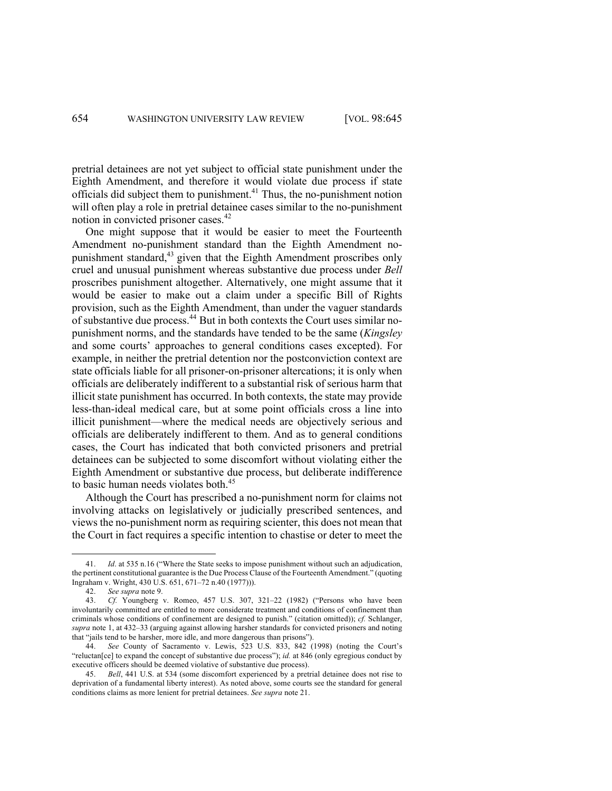pretrial detainees are not yet subject to official state punishment under the Eighth Amendment, and therefore it would violate due process if state officials did subject them to punishment.<sup>41</sup> Thus, the no-punishment notion will often play a role in pretrial detainee cases similar to the no-punishment notion in convicted prisoner cases.<sup>42</sup>

One might suppose that it would be easier to meet the Fourteenth Amendment no-punishment standard than the Eighth Amendment nopunishment standard,<sup>43</sup> given that the Eighth Amendment proscribes only cruel and unusual punishment whereas substantive due process under *Bell*  proscribes punishment altogether. Alternatively, one might assume that it would be easier to make out a claim under a specific Bill of Rights provision, such as the Eighth Amendment, than under the vaguer standards of substantive due process.<sup>44</sup> But in both contexts the Court uses similar nopunishment norms, and the standards have tended to be the same (*Kingsley* and some courts' approaches to general conditions cases excepted). For example, in neither the pretrial detention nor the postconviction context are state officials liable for all prisoner-on-prisoner altercations; it is only when officials are deliberately indifferent to a substantial risk of serious harm that illicit state punishment has occurred. In both contexts, the state may provide less-than-ideal medical care, but at some point officials cross a line into illicit punishment—where the medical needs are objectively serious and officials are deliberately indifferent to them. And as to general conditions cases, the Court has indicated that both convicted prisoners and pretrial detainees can be subjected to some discomfort without violating either the Eighth Amendment or substantive due process, but deliberate indifference to basic human needs violates both. 45

Although the Court has prescribed a no-punishment norm for claims not involving attacks on legislatively or judicially prescribed sentences, and views the no-punishment norm as requiring scienter, this does not mean that the Court in fact requires a specific intention to chastise or deter to meet the

<sup>41.</sup> *Id*. at 535 n.16 ("Where the State seeks to impose punishment without such an adjudication, the pertinent constitutional guarantee is the Due Process Clause of the Fourteenth Amendment." (quoting Ingraham v. Wright, 430 U.S. 651, 671–72 n.40 (1977))).

<sup>42.</sup> *See supra* note 9.

<sup>43.</sup> *Cf.* Youngberg v. Romeo, 457 U.S. 307, 321–22 (1982) ("Persons who have been involuntarily committed are entitled to more considerate treatment and conditions of confinement than criminals whose conditions of confinement are designed to punish." (citation omitted)); *cf.* Schlanger, *supra* note 1, at 432–33 (arguing against allowing harsher standards for convicted prisoners and noting that "jails tend to be harsher, more idle, and more dangerous than prisons").

<sup>44.</sup> *See* County of Sacramento v. Lewis, 523 U.S. 833, 842 (1998) (noting the Court's "reluctan[ce] to expand the concept of substantive due process"); *id.* at 846 (only egregious conduct by executive officers should be deemed violative of substantive due process).

<sup>45.</sup> *Bell*, 441 U.S. at 534 (some discomfort experienced by a pretrial detainee does not rise to deprivation of a fundamental liberty interest). As noted above, some courts see the standard for general conditions claims as more lenient for pretrial detainees. *See supra* note 21.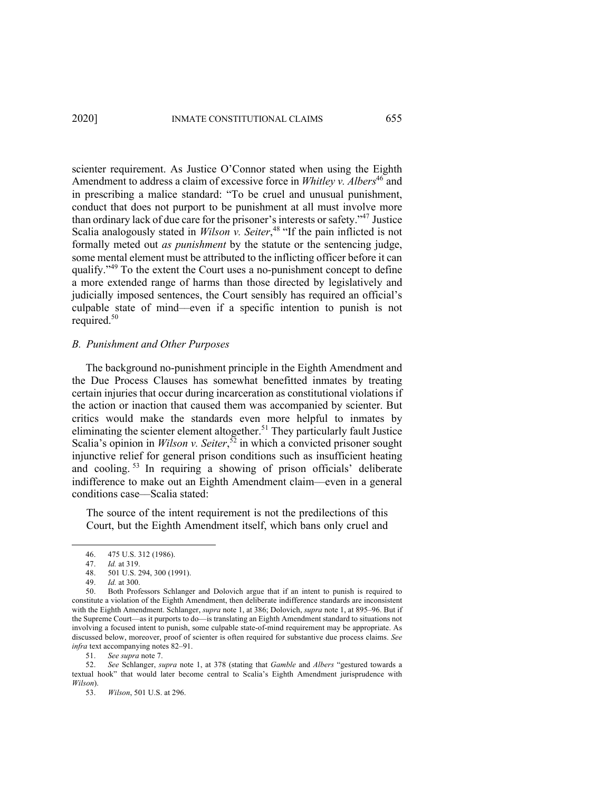scienter requirement. As Justice O'Connor stated when using the Eighth Amendment to address a claim of excessive force in *Whitley v. Albers*<sup>46</sup> and in prescribing a malice standard: "To be cruel and unusual punishment, conduct that does not purport to be punishment at all must involve more than ordinary lack of due care for the prisoner's interests or safety."<sup>47</sup> Justice Scalia analogously stated in *Wilson v. Seiter*, <sup>48</sup> "If the pain inflicted is not formally meted out *as punishment* by the statute or the sentencing judge, some mental element must be attributed to the inflicting officer before it can qualify."<sup>49</sup> To the extent the Court uses a no-punishment concept to define a more extended range of harms than those directed by legislatively and judicially imposed sentences, the Court sensibly has required an official's culpable state of mind––even if a specific intention to punish is not required.<sup>50</sup>

## *B. Punishment and Other Purposes*

The background no-punishment principle in the Eighth Amendment and the Due Process Clauses has somewhat benefitted inmates by treating certain injuries that occur during incarceration as constitutional violations if the action or inaction that caused them was accompanied by scienter. But critics would make the standards even more helpful to inmates by eliminating the scienter element altogether.<sup>51</sup> They particularly fault Justice Scalia's opinion in *Wilson v. Seiter*, <sup>52</sup> in which a convicted prisoner sought injunctive relief for general prison conditions such as insufficient heating and cooling. <sup>53</sup> In requiring a showing of prison officials' deliberate indifference to make out an Eighth Amendment claim––even in a general conditions case––Scalia stated:

The source of the intent requirement is not the predilections of this Court, but the Eighth Amendment itself, which bans only cruel and

50. Both Professors Schlanger and Dolovich argue that if an intent to punish is required to constitute a violation of the Eighth Amendment, then deliberate indifference standards are inconsistent with the Eighth Amendment. Schlanger, *supra* note 1, at 386; Dolovich, *supra* note 1, at 895–96. But if the Supreme Court—as it purports to do—is translating an Eighth Amendment standard to situations not involving a focused intent to punish, some culpable state-of-mind requirement may be appropriate. As discussed below, moreover, proof of scienter is often required for substantive due process claims. *See infra* text accompanying notes 82–91.

51. *See supra* note 7.

52. *See* Schlanger, *supra* note 1, at 378 (stating that *Gamble* and *Albers* "gestured towards a textual hook" that would later become central to Scalia's Eighth Amendment jurisprudence with *Wilson*).

53. *Wilson*, 501 U.S. at 296.

<sup>46.</sup> 475 U.S. 312 (1986).

<sup>47.</sup> *Id.* at 319.

<sup>501</sup> U.S. 294, 300 (1991).

<sup>49.</sup> *Id.* at 300.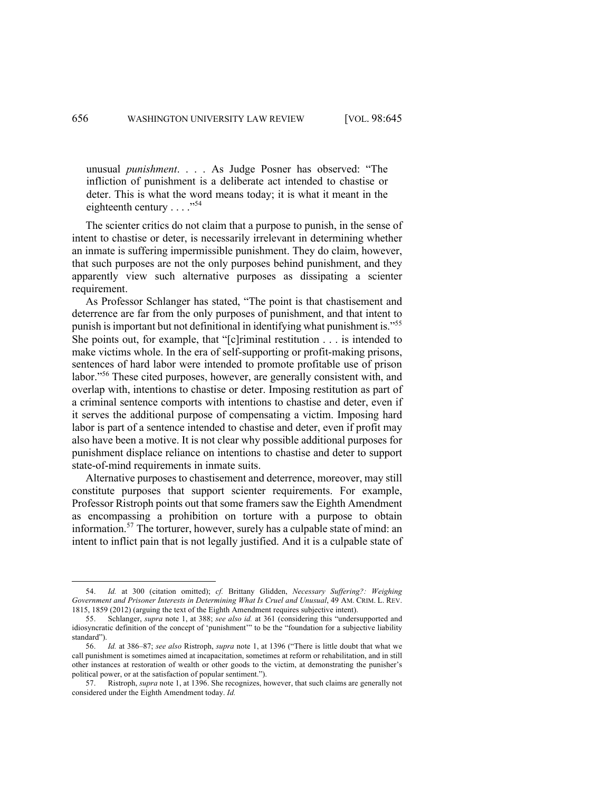unusual *punishment*. . . . As Judge Posner has observed: "The infliction of punishment is a deliberate act intended to chastise or deter. This is what the word means today; it is what it meant in the eighteenth century  $\dots$ ."<sup>54</sup>

The scienter critics do not claim that a purpose to punish, in the sense of intent to chastise or deter, is necessarily irrelevant in determining whether an inmate is suffering impermissible punishment. They do claim, however, that such purposes are not the only purposes behind punishment, and they apparently view such alternative purposes as dissipating a scienter requirement.

As Professor Schlanger has stated, "The point is that chastisement and deterrence are far from the only purposes of punishment, and that intent to punish is important but not definitional in identifying what punishment is."<sup>55</sup> She points out, for example, that "[c]riminal restitution . . . is intended to make victims whole. In the era of self-supporting or profit-making prisons, sentences of hard labor were intended to promote profitable use of prison labor."<sup>56</sup> These cited purposes, however, are generally consistent with, and overlap with, intentions to chastise or deter. Imposing restitution as part of a criminal sentence comports with intentions to chastise and deter, even if it serves the additional purpose of compensating a victim. Imposing hard labor is part of a sentence intended to chastise and deter, even if profit may also have been a motive. It is not clear why possible additional purposes for punishment displace reliance on intentions to chastise and deter to support state-of-mind requirements in inmate suits.

Alternative purposes to chastisement and deterrence, moreover, may still constitute purposes that support scienter requirements. For example, Professor Ristroph points out that some framers saw the Eighth Amendment as encompassing a prohibition on torture with a purpose to obtain information. <sup>57</sup> The torturer, however, surely has a culpable state of mind: an intent to inflict pain that is not legally justified. And it is a culpable state of

<sup>54.</sup> *Id.* at 300 (citation omitted); *cf.* Brittany Glidden, *Necessary Suffering?: Weighing Government and Prisoner Interests in Determining What Is Cruel and Unusual*, 49 AM. CRIM. L. REV. 1815, 1859 (2012) (arguing the text of the Eighth Amendment requires subjective intent).

<sup>55.</sup> Schlanger, *supra* note 1, at 388; *see also id.* at 361 (considering this "undersupported and idiosyncratic definition of the concept of 'punishment'" to be the "foundation for a subjective liability standard").

<sup>56.</sup> *Id.* at 386–87; *see also* Ristroph, *supra* note 1, at 1396 ("There is little doubt that what we call punishment is sometimes aimed at incapacitation, sometimes at reform or rehabilitation, and in still other instances at restoration of wealth or other goods to the victim, at demonstrating the punisher's political power, or at the satisfaction of popular sentiment.").

<sup>57.</sup> Ristroph, *supra* note 1, at 1396. She recognizes, however, that such claims are generally not considered under the Eighth Amendment today. *Id.*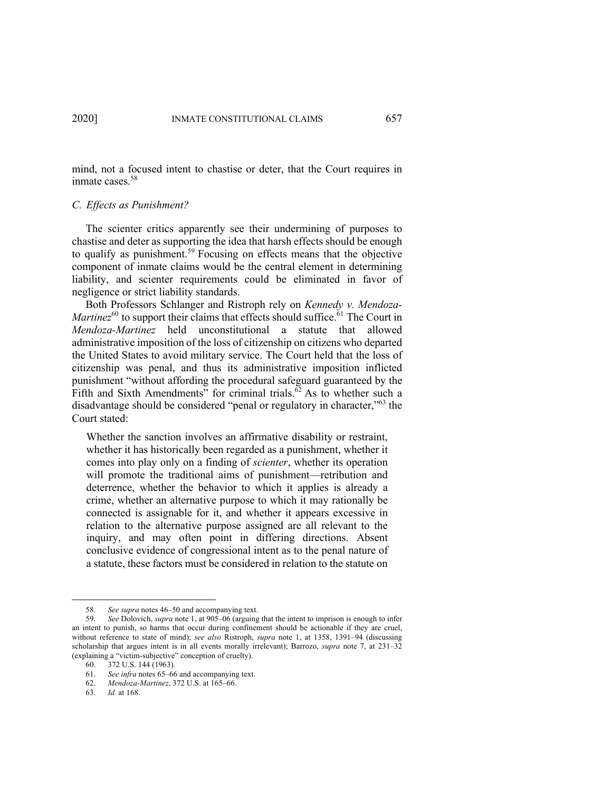mind, not a focused intent to chastise or deter, that the Court requires in inmate cases.<sup>58</sup>

### *C. Effects as Punishment?*

The scienter critics apparently see their undermining of purposes to chastise and deter as supporting the idea that harsh effects should be enough to qualify as punishment.<sup>59</sup> Focusing on effects means that the objective component of inmate claims would be the central element in determining liability, and scienter requirements could be eliminated in favor of negligence or strict liability standards.

Both Professors Schlanger and Ristroph rely on *Kennedy v. Mendoza-Martinez*<sup>60</sup> to support their claims that effects should suffice.<sup>61</sup> The Court in *Mendoza-Martinez* held unconstitutional a statute that allowed administrative imposition of the loss of citizenship on citizens who departed the United States to avoid military service. The Court held that the loss of citizenship was penal, and thus its administrative imposition inflicted punishment "without affording the procedural safeguard guaranteed by the Fifth and Sixth Amendments" for criminal trials.<sup>62</sup> As to whether such a disadvantage should be considered "penal or regulatory in character,"<sup>63</sup> the Court stated:

Whether the sanction involves an affirmative disability or restraint, whether it has historically been regarded as a punishment, whether it comes into play only on a finding of *scienter*, whether its operation will promote the traditional aims of punishment—retribution and deterrence, whether the behavior to which it applies is already a crime, whether an alternative purpose to which it may rationally be connected is assignable for it, and whether it appears excessive in relation to the alternative purpose assigned are all relevant to the inquiry, and may often point in differing directions. Absent conclusive evidence of congressional intent as to the penal nature of a statute, these factors must be considered in relation to the statute on

<sup>58.</sup> *See supra* notes 46–50 and accompanying text.

<sup>59.</sup> *See* Dolovich, *supra* note 1, at 905–06 (arguing that the intent to imprison is enough to infer an intent to punish, so harms that occur during confinement should be actionable if they are cruel, without reference to state of mind); *see also* Ristroph, *supra* note 1, at 1358, 1391–94 (discussing scholarship that argues intent is in all events morally irrelevant); Barrozo, *supra* note 7, at 231–32 (explaining a "victim-subjective" conception of cruelty).

<sup>60.</sup> 372 U.S. 144 (1963).

<sup>61.</sup> *See infra* notes 65–66 and accompanying text.

<sup>62.</sup> *Mendoza-Martinez*, 372 U.S. at 165–66.

<sup>63.</sup> *Id.* at 168.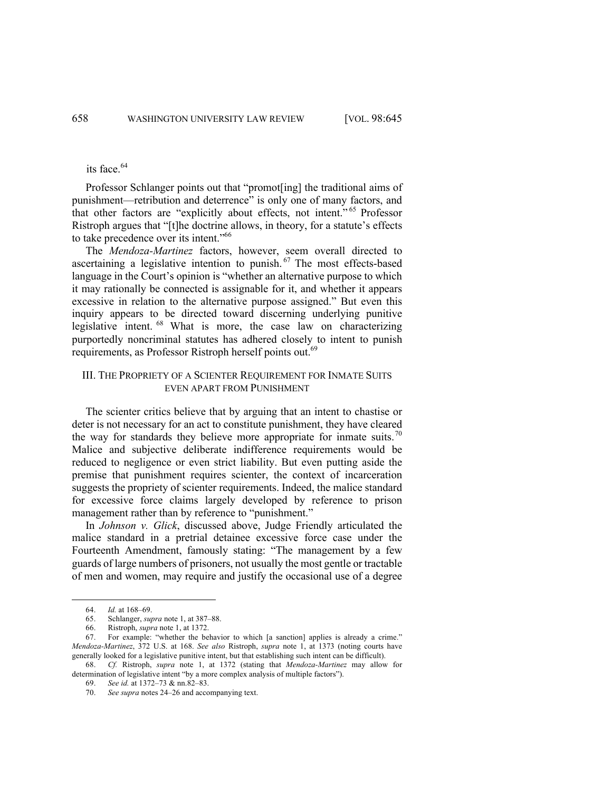# its face.<sup>64</sup>

Professor Schlanger points out that "promot[ing] the traditional aims of punishment—retribution and deterrence" is only one of many factors, and that other factors are "explicitly about effects, not intent." <sup>65</sup> Professor Ristroph argues that "[t]he doctrine allows, in theory, for a statute's effects to take precedence over its intent."66

The *Mendoza-Martinez* factors, however, seem overall directed to ascertaining a legislative intention to punish.<sup>67</sup> The most effects-based language in the Court's opinion is "whether an alternative purpose to which it may rationally be connected is assignable for it, and whether it appears excessive in relation to the alternative purpose assigned." But even this inquiry appears to be directed toward discerning underlying punitive legislative intent. <sup>68</sup> What is more, the case law on characterizing purportedly noncriminal statutes has adhered closely to intent to punish requirements, as Professor Ristroph herself points out.<sup>69</sup>

## III. THE PROPRIETY OF A SCIENTER REQUIREMENT FOR INMATE SUITS EVEN APART FROM PUNISHMENT

The scienter critics believe that by arguing that an intent to chastise or deter is not necessary for an act to constitute punishment, they have cleared the way for standards they believe more appropriate for inmate suits.<sup>70</sup> Malice and subjective deliberate indifference requirements would be reduced to negligence or even strict liability. But even putting aside the premise that punishment requires scienter, the context of incarceration suggests the propriety of scienter requirements. Indeed, the malice standard for excessive force claims largely developed by reference to prison management rather than by reference to "punishment."

In *Johnson v. Glick*, discussed above, Judge Friendly articulated the malice standard in a pretrial detainee excessive force case under the Fourteenth Amendment, famously stating: "The management by a few guards of large numbers of prisoners, not usually the most gentle or tractable of men and women, may require and justify the occasional use of a degree

<sup>64.</sup> *Id.* at 168–69.

<sup>65.</sup> Schlanger, *supra* note 1, at 387–88.

<sup>66.</sup> Ristroph, *supra* note 1, at 1372.

<sup>67.</sup> For example: "whether the behavior to which [a sanction] applies is already a crime." *Mendoza-Martinez*, 372 U.S. at 168. *See also* Ristroph, *supra* note 1, at 1373 (noting courts have generally looked for a legislative punitive intent, but that establishing such intent can be difficult). 68. *Cf.* Ristroph, *supra* note 1, at 1372 (stating that *Mendoza-Martinez* may allow for

determination of legislative intent "by a more complex analysis of multiple factors").

<sup>69.</sup> *See id.* at 1372–73 & nn.82–83.

<sup>70.</sup> *See supra* notes 24–26 and accompanying text.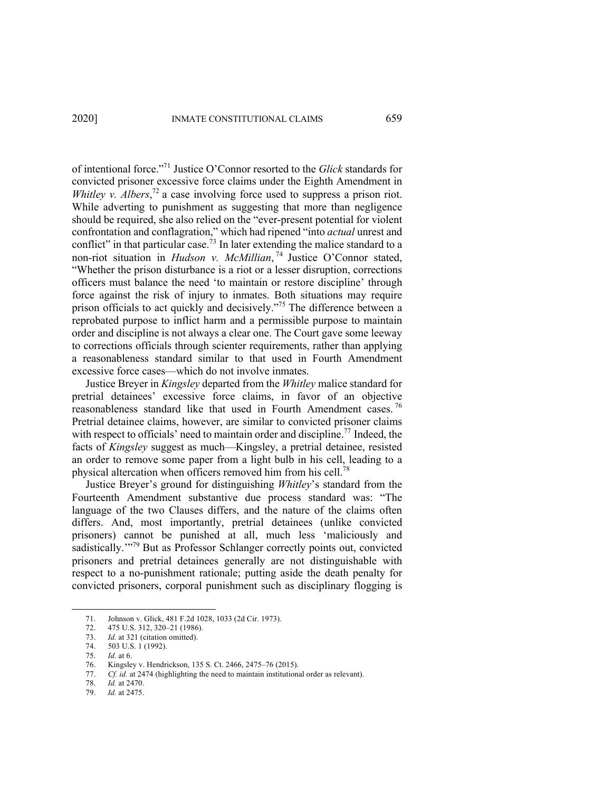of intentional force."71 Justice O'Connor resorted to the *Glick* standards for convicted prisoner excessive force claims under the Eighth Amendment in *Whitley v. Albers*,<sup> $72$ </sup> a case involving force used to suppress a prison riot. While adverting to punishment as suggesting that more than negligence should be required, she also relied on the "ever-present potential for violent confrontation and conflagration," which had ripened "into *actual* unrest and conflict" in that particular case.<sup>73</sup> In later extending the malice standard to a non-riot situation in *Hudson v. McMillian*, <sup>74</sup> Justice O'Connor stated, "Whether the prison disturbance is a riot or a lesser disruption, corrections officers must balance the need 'to maintain or restore discipline' through force against the risk of injury to inmates. Both situations may require prison officials to act quickly and decisively."<sup>75</sup> The difference between a reprobated purpose to inflict harm and a permissible purpose to maintain order and discipline is not always a clear one. The Court gave some leeway to corrections officials through scienter requirements, rather than applying a reasonableness standard similar to that used in Fourth Amendment excessive force cases—which do not involve inmates.

Justice Breyer in *Kingsley* departed from the *Whitley* malice standard for pretrial detainees' excessive force claims, in favor of an objective reasonableness standard like that used in Fourth Amendment cases.<sup>76</sup> Pretrial detainee claims, however, are similar to convicted prisoner claims with respect to officials' need to maintain order and discipline.<sup>77</sup> Indeed, the facts of *Kingsley* suggest as much—Kingsley, a pretrial detainee, resisted an order to remove some paper from a light bulb in his cell, leading to a physical altercation when officers removed him from his cell.78

Justice Breyer's ground for distinguishing *Whitley*'s standard from the Fourteenth Amendment substantive due process standard was: "The language of the two Clauses differs, and the nature of the claims often differs. And, most importantly, pretrial detainees (unlike convicted prisoners) cannot be punished at all, much less 'maliciously and sadistically.<sup>"79</sup> But as Professor Schlanger correctly points out, convicted prisoners and pretrial detainees generally are not distinguishable with respect to a no-punishment rationale; putting aside the death penalty for convicted prisoners, corporal punishment such as disciplinary flogging is

<sup>71.</sup> Johnson v. Glick, 481 F.2d 1028, 1033 (2d Cir. 1973).

<sup>72.</sup> 475 U.S. 312, 320–21 (1986).

<sup>73.</sup> *Id.* at 321 (citation omitted).

<sup>74.</sup> 503 U.S. 1 (1992). 75. *Id.* at 6.

<sup>76.</sup> Kingsley v. Hendrickson, 135 S. Ct. 2466, 2475–76 (2015).

<sup>77.</sup> *Cf. id.* at 2474 (highlighting the need to maintain institutional order as relevant).

<sup>78.</sup> *Id.* at 2470.

<sup>79.</sup> *Id.* at 2475.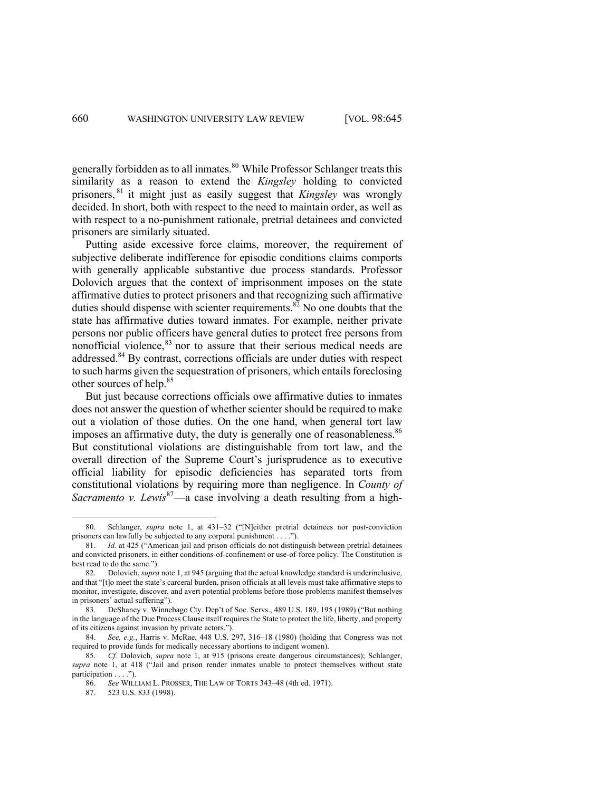generally forbidden as to all inmates.<sup>80</sup> While Professor Schlanger treats this similarity as a reason to extend the *Kingsley* holding to convicted prisoners, <sup>81</sup> it might just as easily suggest that *Kingsley* was wrongly decided. In short, both with respect to the need to maintain order, as well as with respect to a no-punishment rationale, pretrial detainees and convicted prisoners are similarly situated.

Putting aside excessive force claims, moreover, the requirement of subjective deliberate indifference for episodic conditions claims comports with generally applicable substantive due process standards. Professor Dolovich argues that the context of imprisonment imposes on the state affirmative duties to protect prisoners and that recognizing such affirmative duties should dispense with scienter requirements.<sup>82</sup> No one doubts that the state has affirmative duties toward inmates. For example, neither private persons nor public officers have general duties to protect free persons from nonofficial violence, <sup>83</sup> nor to assure that their serious medical needs are addressed.<sup>84</sup> By contrast, corrections officials are under duties with respect to such harms given the sequestration of prisoners, which entails foreclosing other sources of help. 85

But just because corrections officials owe affirmative duties to inmates does not answer the question of whether scienter should be required to make out a violation of those duties. On the one hand, when general tort law imposes an affirmative duty, the duty is generally one of reasonableness.<sup>86</sup> But constitutional violations are distinguishable from tort law, and the overall direction of the Supreme Court's jurisprudence as to executive official liability for episodic deficiencies has separated torts from constitutional violations by requiring more than negligence. In *County of Sacramento v. Lewis*<sup>87</sup>—a case involving a death resulting from a high-

87. 523 U.S. 833 (1998).

Schlanger, *supra* note 1, at 431-32 ("[N]either pretrial detainees nor post-conviction prisoners can lawfully be subjected to any corporal punishment . . . .").

<sup>81.</sup> *Id.* at 425 ("American jail and prison officials do not distinguish between pretrial detainees and convicted prisoners, in either conditions-of-confinement or use-of-force policy. The Constitution is best read to do the same.").

<sup>82.</sup> Dolovich, *supra* note 1, at 945 (arguing that the actual knowledge standard is underinclusive, and that "[t]o meet the state's carceral burden, prison officials at all levels must take affirmative steps to monitor, investigate, discover, and avert potential problems before those problems manifest themselves in prisoners' actual suffering").

<sup>83.</sup> DeShaney v. Winnebago Cty. Dep't of Soc. Servs., 489 U.S. 189, 195 (1989) ("But nothing in the language of the Due Process Clause itself requires the State to protect the life, liberty, and property of its citizens against invasion by private actors.").

<sup>84.</sup> *See, e.g.*, Harris v. McRae, 448 U.S. 297, 316–18 (1980) (holding that Congress was not required to provide funds for medically necessary abortions to indigent women).

<sup>85.</sup> *Cf.* Dolovich, *supra* note 1, at 915 (prisons create dangerous circumstances); Schlanger, *supra* note 1, at 418 ("Jail and prison render inmates unable to protect themselves without state participation . . . .").

<sup>86.</sup> *See* WILLIAM L. PROSSER, THE LAW OF TORTS 343–48 (4th ed. 1971).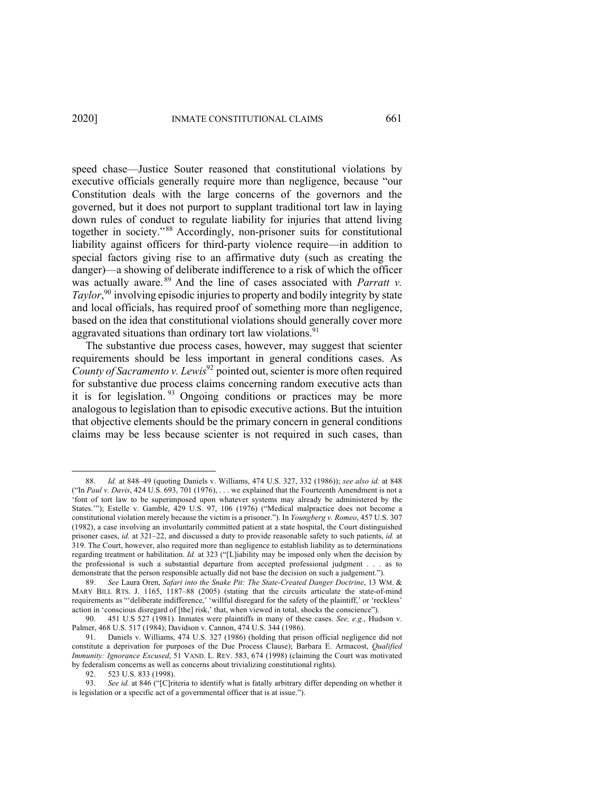speed chase—Justice Souter reasoned that constitutional violations by executive officials generally require more than negligence, because "our Constitution deals with the large concerns of the governors and the governed, but it does not purport to supplant traditional tort law in laying down rules of conduct to regulate liability for injuries that attend living together in society."<sup>88</sup> Accordingly, non-prisoner suits for constitutional liability against officers for third-party violence require—in addition to special factors giving rise to an affirmative duty (such as creating the danger)—a showing of deliberate indifference to a risk of which the officer was actually aware. <sup>89</sup> And the line of cases associated with *Parratt v. Taylor*, <sup>90</sup> involving episodic injuries to property and bodily integrity by state and local officials, has required proof of something more than negligence, based on the idea that constitutional violations should generally cover more aggravated situations than ordinary tort law violations.<sup>91</sup>

The substantive due process cases, however, may suggest that scienter requirements should be less important in general conditions cases. As *County of Sacramento v. Lewis*<sup>92</sup> pointed out, scienter is more often required for substantive due process claims concerning random executive acts than it is for legislation.  $93$  Ongoing conditions or practices may be more analogous to legislation than to episodic executive actions. But the intuition that objective elements should be the primary concern in general conditions claims may be less because scienter is not required in such cases, than

<sup>88.</sup> *Id.* at 848–49 (quoting Daniels v. Williams, 474 U.S. 327, 332 (1986)); *see also id.* at 848 ("In *Paul v. Davis*, 424 U.S. 693, 701 (1976), . . . we explained that the Fourteenth Amendment is not a 'font of tort law to be superimposed upon whatever systems may already be administered by the States.'"); Estelle v. Gamble, 429 U.S. 97, 106 (1976) ("Medical malpractice does not become a constitutional violation merely because the victim is a prisoner."). In *Youngberg v. Romeo*, 457 U.S. 307 (1982), a case involving an involuntarily committed patient at a state hospital, the Court distinguished prisoner cases, *id.* at 321–22, and discussed a duty to provide reasonable safety to such patients, *id.* at 319. The Court, however, also required more than negligence to establish liability as to determinations regarding treatment or habilitation. *Id.* at 323 ("[L]iability may be imposed only when the decision by the professional is such a substantial departure from accepted professional judgment . . . as to demonstrate that the person responsible actually did not base the decision on such a judgement.").

<sup>89.</sup> *See* Laura Oren, *Safari into the Snake Pit: The State-Created Danger Doctrine*, 13 WM. & MARY BILL RTS. J. 1165, 1187–88 (2005) (stating that the circuits articulate the state-of-mind requirements as "'deliberate indifference,' 'willful disregard for the safety of the plaintiff,' or 'reckless' action in 'conscious disregard of [the] risk,' that, when viewed in total, shocks the conscience").

<sup>90.</sup> 451 U.S 527 (1981). Inmates were plaintiffs in many of these cases. *See, e.g.*, Hudson v. Palmer, 468 U.S. 517 (1984); Davidson v. Cannon, 474 U.S. 344 (1986).

<sup>91.</sup> Daniels v. Williams, 474 U.S. 327 (1986) (holding that prison official negligence did not constitute a deprivation for purposes of the Due Process Clause); Barbara E. Armacost, *Qualified Immunity: Ignorance Excused*, 51 VAND. L. REV. 583, 674 (1998) (claiming the Court was motivated by federalism concerns as well as concerns about trivializing constitutional rights).

<sup>92.</sup> 523 U.S. 833 (1998).

<sup>93.</sup> *See id.* at 846 ("[C]riteria to identify what is fatally arbitrary differ depending on whether it is legislation or a specific act of a governmental officer that is at issue.").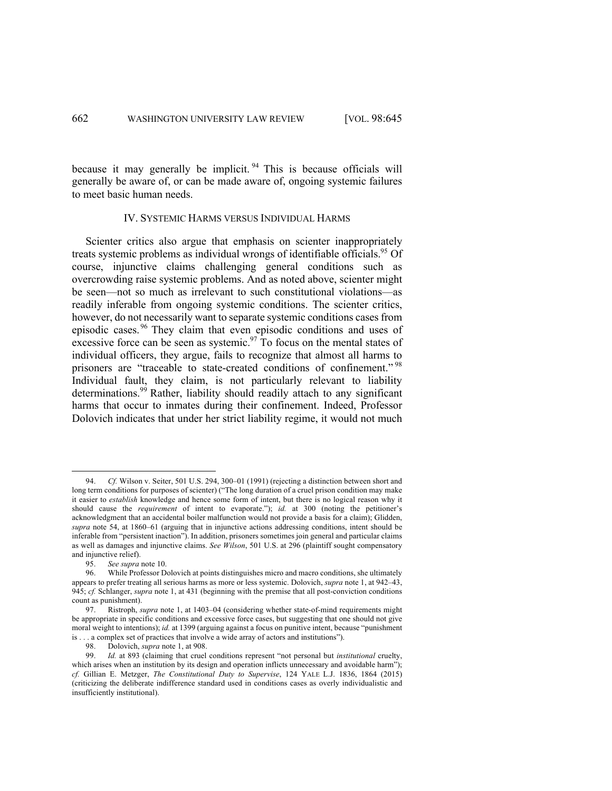because it may generally be implicit. <sup>94</sup> This is because officials will generally be aware of, or can be made aware of, ongoing systemic failures to meet basic human needs.

#### IV. SYSTEMIC HARMS VERSUS INDIVIDUAL HARMS

Scienter critics also argue that emphasis on scienter inappropriately treats systemic problems as individual wrongs of identifiable officials. <sup>95</sup> Of course, injunctive claims challenging general conditions such as overcrowding raise systemic problems. And as noted above, scienter might be seen—not so much as irrelevant to such constitutional violations—as readily inferable from ongoing systemic conditions. The scienter critics, however, do not necessarily want to separate systemic conditions cases from episodic cases. <sup>96</sup> They claim that even episodic conditions and uses of excessive force can be seen as systemic.<sup>97</sup> To focus on the mental states of individual officers, they argue, fails to recognize that almost all harms to prisoners are "traceable to state-created conditions of confinement."<sup>98</sup> Individual fault, they claim, is not particularly relevant to liability determinations.<sup>99</sup> Rather, liability should readily attach to any significant harms that occur to inmates during their confinement. Indeed, Professor Dolovich indicates that under her strict liability regime, it would not much

<sup>94.</sup> *Cf.* Wilson v. Seiter, 501 U.S. 294, 300–01 (1991) (rejecting a distinction between short and long term conditions for purposes of scienter) ("The long duration of a cruel prison condition may make it easier to *establish* knowledge and hence some form of intent, but there is no logical reason why it should cause the *requirement* of intent to evaporate."); *id.* at 300 (noting the petitioner's acknowledgment that an accidental boiler malfunction would not provide a basis for a claim); Glidden, *supra* note 54, at 1860–61 (arguing that in injunctive actions addressing conditions, intent should be inferable from "persistent inaction"). In addition, prisoners sometimes join general and particular claims as well as damages and injunctive claims. *See Wilson*, 501 U.S. at 296 (plaintiff sought compensatory and injunctive relief).

<sup>95.</sup> *See supra* note 10.

While Professor Dolovich at points distinguishes micro and macro conditions, she ultimately appears to prefer treating all serious harms as more or less systemic. Dolovich, *supra* note 1, at 942–43, 945; *cf.* Schlanger, *supra* note 1, at 431 (beginning with the premise that all post-conviction conditions count as punishment).

<sup>97.</sup> Ristroph, *supra* note 1, at 1403–04 (considering whether state-of-mind requirements might be appropriate in specific conditions and excessive force cases, but suggesting that one should not give moral weight to intentions); *id.* at 1399 (arguing against a focus on punitive intent, because "punishment is . . . a complex set of practices that involve a wide array of actors and institutions").

<sup>98.</sup> Dolovich, *supra* note 1, at 908.

<sup>99.</sup> *Id.* at 893 (claiming that cruel conditions represent "not personal but *institutional* cruelty, which arises when an institution by its design and operation inflicts unnecessary and avoidable harm"); *cf.* Gillian E. Metzger, *The Constitutional Duty to Supervise*, 124 YALE L.J. 1836, 1864 (2015) (criticizing the deliberate indifference standard used in conditions cases as overly individualistic and insufficiently institutional).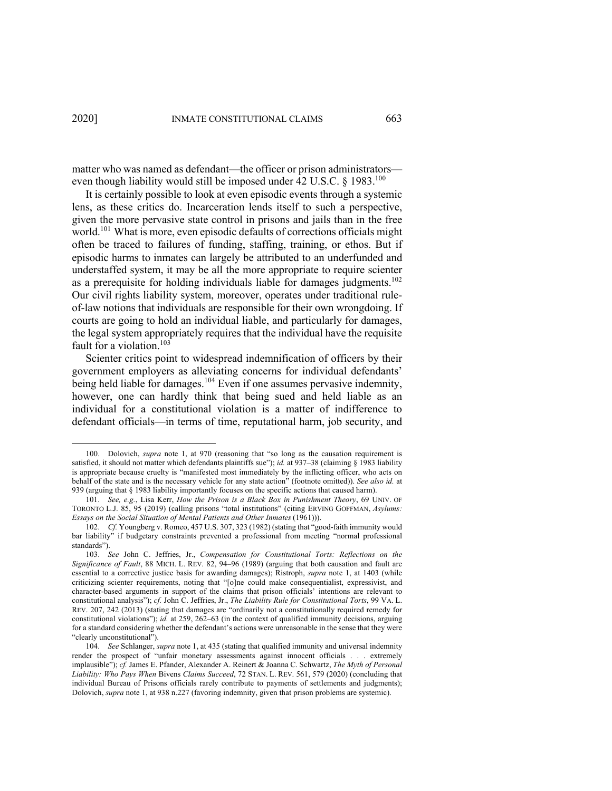matter who was named as defendant—the officer or prison administrators even though liability would still be imposed under 42 U.S.C.  $\S$  1983.<sup>100</sup>

It is certainly possible to look at even episodic events through a systemic lens, as these critics do. Incarceration lends itself to such a perspective, given the more pervasive state control in prisons and jails than in the free world. <sup>101</sup> What is more, even episodic defaults of corrections officials might often be traced to failures of funding, staffing, training, or ethos. But if episodic harms to inmates can largely be attributed to an underfunded and understaffed system, it may be all the more appropriate to require scienter as a prerequisite for holding individuals liable for damages judgments.<sup>102</sup> Our civil rights liability system, moreover, operates under traditional ruleof-law notions that individuals are responsible for their own wrongdoing. If courts are going to hold an individual liable, and particularly for damages, the legal system appropriately requires that the individual have the requisite fault for a violation.<sup>103</sup>

Scienter critics point to widespread indemnification of officers by their government employers as alleviating concerns for individual defendants' being held liable for damages.<sup>104</sup> Even if one assumes pervasive indemnity, however, one can hardly think that being sued and held liable as an individual for a constitutional violation is a matter of indifference to defendant officials—in terms of time, reputational harm, job security, and

<sup>100.</sup> Dolovich, *supra* note 1, at 970 (reasoning that "so long as the causation requirement is satisfied, it should not matter which defendants plaintiffs sue"); *id.* at 937–38 (claiming § 1983 liability is appropriate because cruelty is "manifested most immediately by the inflicting officer, who acts on behalf of the state and is the necessary vehicle for any state action" (footnote omitted)). *See also id.* at 939 (arguing that § 1983 liability importantly focuses on the specific actions that caused harm).

<sup>101.</sup> *See, e.g.*, Lisa Kerr, *How the Prison is a Black Box in Punishment Theory*, 69 UNIV. OF TORONTO L.J. 85, 95 (2019) (calling prisons "total institutions" (citing ERVING GOFFMAN, *Asylums: Essays on the Social Situation of Mental Patients and Other Inmates* (1961))).

<sup>102.</sup> *Cf.* Youngberg v. Romeo, 457 U.S. 307, 323 (1982) (stating that "good-faith immunity would bar liability" if budgetary constraints prevented a professional from meeting "normal professional standards").

<sup>103.</sup> *See* John C. Jeffries, Jr., *Compensation for Constitutional Torts: Reflections on the Significance of Fault*, 88 MICH. L. REV. 82, 94–96 (1989) (arguing that both causation and fault are essential to a corrective justice basis for awarding damages); Ristroph, *supra* note 1, at 1403 (while criticizing scienter requirements, noting that "[o]ne could make consequentialist, expressivist, and character-based arguments in support of the claims that prison officials' intentions are relevant to constitutional analysis"); *cf.* John C. Jeffries, Jr., *The Liability Rule for Constitutional Torts*, 99 VA. L. REV. 207, 242 (2013) (stating that damages are "ordinarily not a constitutionally required remedy for constitutional violations"); *id.* at 259, 262–63 (in the context of qualified immunity decisions, arguing for a standard considering whether the defendant's actions were unreasonable in the sense that they were "clearly unconstitutional").

<sup>104.</sup> *See* Schlanger, *supra* note 1, at 435 (stating that qualified immunity and universal indemnity render the prospect of "unfair monetary assessments against innocent officials . . . extremely implausible"); *cf.* James E. Pfander, Alexander A. Reinert & Joanna C. Schwartz, *The Myth of Personal Liability: Who Pays When* Bivens *Claims Succeed*, 72 STAN. L. REV. 561, 579 (2020) (concluding that individual Bureau of Prisons officials rarely contribute to payments of settlements and judgments); Dolovich, *supra* note 1, at 938 n.227 (favoring indemnity, given that prison problems are systemic).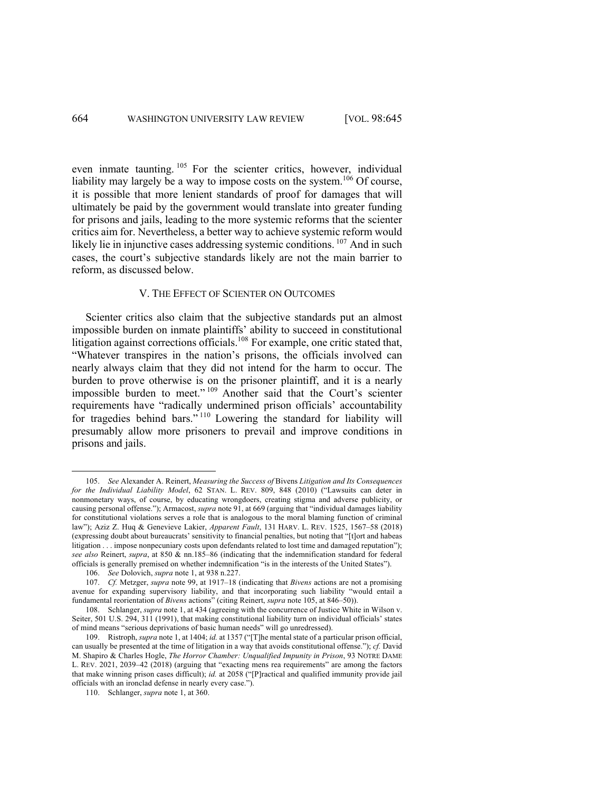even inmate taunting. <sup>105</sup> For the scienter critics, however, individual liability may largely be a way to impose costs on the system.<sup>106</sup> Of course, it is possible that more lenient standards of proof for damages that will ultimately be paid by the government would translate into greater funding for prisons and jails, leading to the more systemic reforms that the scienter critics aim for. Nevertheless, a better way to achieve systemic reform would likely lie in injunctive cases addressing systemic conditions. <sup>107</sup> And in such cases, the court's subjective standards likely are not the main barrier to reform, as discussed below.

#### V. THE EFFECT OF SCIENTER ON OUTCOMES

Scienter critics also claim that the subjective standards put an almost impossible burden on inmate plaintiffs' ability to succeed in constitutional litigation against corrections officials.<sup>108</sup> For example, one critic stated that, "Whatever transpires in the nation's prisons, the officials involved can nearly always claim that they did not intend for the harm to occur. The burden to prove otherwise is on the prisoner plaintiff, and it is a nearly impossible burden to meet."<sup>109</sup> Another said that the Court's scienter requirements have "radically undermined prison officials' accountability for tragedies behind bars."<sup>110</sup> Lowering the standard for liability will presumably allow more prisoners to prevail and improve conditions in prisons and jails.

<sup>105.</sup> *See* Alexander A. Reinert, *Measuring the Success of* Bivens *Litigation and Its Consequences for the Individual Liability Model*, 62 STAN. L. REV. 809, 848 (2010) ("Lawsuits can deter in nonmonetary ways, of course, by educating wrongdoers, creating stigma and adverse publicity, or causing personal offense."); Armacost, *supra* note 91, at 669 (arguing that "individual damages liability for constitutional violations serves a role that is analogous to the moral blaming function of criminal law"); Aziz Z. Huq & Genevieve Lakier, *Apparent Fault*, 131 HARV. L. REV. 1525, 1567–58 (2018) (expressing doubt about bureaucrats' sensitivity to financial penalties, but noting that "[t]ort and habeas litigation . . . impose nonpecuniary costs upon defendants related to lost time and damaged reputation"); *see also* Reinert, *supra*, at 850 & nn.185–86 (indicating that the indemnification standard for federal officials is generally premised on whether indemnification "is in the interests of the United States").

<sup>106.</sup> *See* Dolovich, *supra* note 1, at 938 n.227.

<sup>107.</sup> *Cf.* Metzger, *supra* note 99, at 1917–18 (indicating that *Bivens* actions are not a promising avenue for expanding supervisory liability, and that incorporating such liability "would entail a fundamental reorientation of *Bivens* actions" (citing Reinert, *supra* note 105, at 846–50)).

<sup>108.</sup> Schlanger, *supra* note 1, at 434 (agreeing with the concurrence of Justice White in Wilson v. Seiter, 501 U.S. 294, 311 (1991), that making constitutional liability turn on individual officials' states of mind means "serious deprivations of basic human needs" will go unredressed).

<sup>109.</sup> Ristroph, *supra* note 1, at 1404; *id.* at 1357 ("[T]he mental state of a particular prison official, can usually be presented at the time of litigation in a way that avoids constitutional offense."); *cf.* David M. Shapiro & Charles Hogle, *The Horror Chamber: Unqualified Impunity in Prison*, 93 NOTRE DAME L. REV. 2021, 2039–42 (2018) (arguing that "exacting mens rea requirements" are among the factors that make winning prison cases difficult); *id.* at 2058 ("[P]ractical and qualified immunity provide jail officials with an ironclad defense in nearly every case.").

<sup>110.</sup> Schlanger, *supra* note 1, at 360.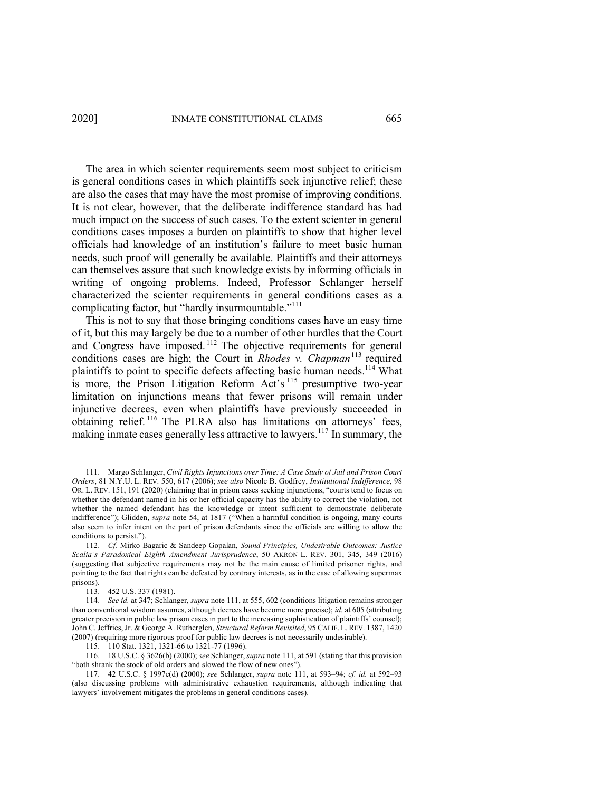The area in which scienter requirements seem most subject to criticism is general conditions cases in which plaintiffs seek injunctive relief; these are also the cases that may have the most promise of improving conditions. It is not clear, however, that the deliberate indifference standard has had much impact on the success of such cases. To the extent scienter in general conditions cases imposes a burden on plaintiffs to show that higher level officials had knowledge of an institution's failure to meet basic human needs, such proof will generally be available. Plaintiffs and their attorneys can themselves assure that such knowledge exists by informing officials in writing of ongoing problems. Indeed, Professor Schlanger herself characterized the scienter requirements in general conditions cases as a complicating factor, but "hardly insurmountable."<sup>111</sup>

This is not to say that those bringing conditions cases have an easy time of it, but this may largely be due to a number of other hurdles that the Court and Congress have imposed.<sup>112</sup> The objective requirements for general conditions cases are high; the Court in *Rhodes v. Chapman*<sup>113</sup> required plaintiffs to point to specific defects affecting basic human needs.<sup>114</sup> What is more, the Prison Litigation Reform Act's  $115$  presumptive two-year limitation on injunctions means that fewer prisons will remain under injunctive decrees, even when plaintiffs have previously succeeded in obtaining relief.<sup>116</sup> The PLRA also has limitations on attorneys' fees, making inmate cases generally less attractive to lawyers. <sup>117</sup> In summary, the

<sup>111.</sup> Margo Schlanger, *Civil Rights Injunctions over Time: A Case Study of Jail and Prison Court Orders*, 81 N.Y.U. L. REV. 550, 617 (2006); *see also* Nicole B. Godfrey, *Institutional Indifference*, 98 OR. L. REV. 151, 191 (2020) (claiming that in prison cases seeking injunctions, "courts tend to focus on whether the defendant named in his or her official capacity has the ability to correct the violation, not whether the named defendant has the knowledge or intent sufficient to demonstrate deliberate indifference"); Glidden, *supra* note 54, at 1817 ("When a harmful condition is ongoing, many courts also seem to infer intent on the part of prison defendants since the officials are willing to allow the conditions to persist.").

<sup>112.</sup> *Cf.* Mirko Bagaric & Sandeep Gopalan, *Sound Principles, Undesirable Outcomes: Justice Scalia's Paradoxical Eighth Amendment Jurisprudence*, 50 AKRON L. REV. 301, 345, 349 (2016) (suggesting that subjective requirements may not be the main cause of limited prisoner rights, and pointing to the fact that rights can be defeated by contrary interests, as in the case of allowing supermax prisons).

<sup>113.</sup> 452 U.S. 337 (1981).

<sup>114.</sup> *See id.* at 347; Schlanger, *supra* note 111, at 555, 602 (conditions litigation remains stronger than conventional wisdom assumes, although decrees have become more precise); *id.* at 605 (attributing greater precision in public law prison cases in part to the increasing sophistication of plaintiffs' counsel); John C. Jeffries, Jr. & George A. Rutherglen, *Structural Reform Revisited*, 95 CALIF. L. REV. 1387, 1420 (2007) (requiring more rigorous proof for public law decrees is not necessarily undesirable).

<sup>115.</sup> 110 Stat. 1321, 1321-66 to 1321-77 (1996).

<sup>116.</sup> 18 U.S.C. § 3626(b) (2000); *see* Schlanger, *supra* note 111, at 591 (stating that this provision "both shrank the stock of old orders and slowed the flow of new ones").

<sup>117.</sup> 42 U.S.C. § 1997e(d) (2000); *see* Schlanger, *supra* note 111, at 593–94; *cf. id.* at 592–93 (also discussing problems with administrative exhaustion requirements, although indicating that lawyers' involvement mitigates the problems in general conditions cases).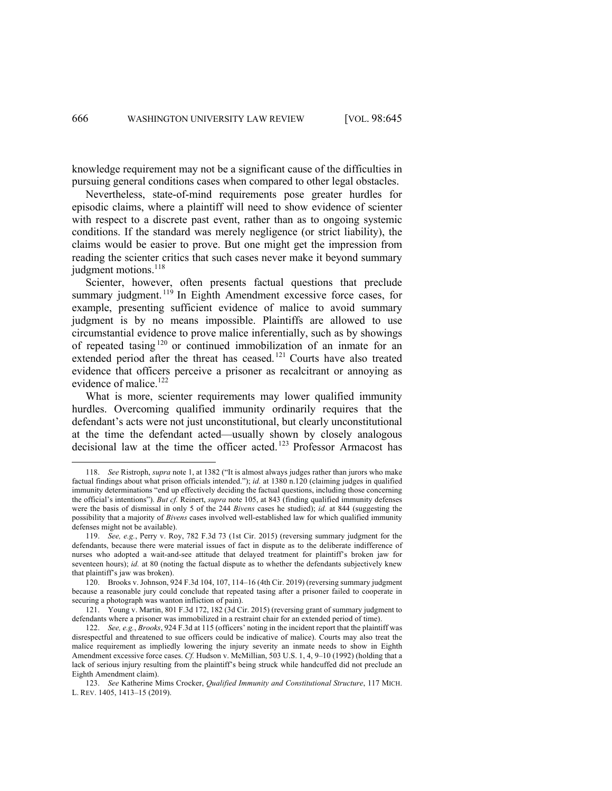knowledge requirement may not be a significant cause of the difficulties in pursuing general conditions cases when compared to other legal obstacles.

Nevertheless, state-of-mind requirements pose greater hurdles for episodic claims, where a plaintiff will need to show evidence of scienter with respect to a discrete past event, rather than as to ongoing systemic conditions. If the standard was merely negligence (or strict liability), the claims would be easier to prove. But one might get the impression from reading the scienter critics that such cases never make it beyond summary judgment motions.<sup>118</sup>

Scienter, however, often presents factual questions that preclude summary judgment.<sup>119</sup> In Eighth Amendment excessive force cases, for example, presenting sufficient evidence of malice to avoid summary judgment is by no means impossible. Plaintiffs are allowed to use circumstantial evidence to prove malice inferentially, such as by showings of repeated tasing <sup>120</sup> or continued immobilization of an inmate for an extended period after the threat has ceased.<sup>121</sup> Courts have also treated evidence that officers perceive a prisoner as recalcitrant or annoying as evidence of malice. 122

What is more, scienter requirements may lower qualified immunity hurdles. Overcoming qualified immunity ordinarily requires that the defendant's acts were not just unconstitutional, but clearly unconstitutional at the time the defendant acted—usually shown by closely analogous decisional law at the time the officer acted. <sup>123</sup> Professor Armacost has

<sup>118.</sup> *See* Ristroph, *supra* note 1, at 1382 ("It is almost always judges rather than jurors who make factual findings about what prison officials intended."); *id.* at 1380 n.120 (claiming judges in qualified immunity determinations "end up effectively deciding the factual questions, including those concerning the official's intentions"). *But cf.* Reinert, *supra* note 105, at 843 (finding qualified immunity defenses were the basis of dismissal in only 5 of the 244 *Bivens* cases he studied); *id.* at 844 (suggesting the possibility that a majority of *Bivens* cases involved well-established law for which qualified immunity defenses might not be available).

<sup>119.</sup> *See, e.g.*, Perry v. Roy, 782 F.3d 73 (1st Cir. 2015) (reversing summary judgment for the defendants, because there were material issues of fact in dispute as to the deliberate indifference of nurses who adopted a wait-and-see attitude that delayed treatment for plaintiff's broken jaw for seventeen hours); *id.* at 80 (noting the factual dispute as to whether the defendants subjectively knew that plaintiff's jaw was broken).

<sup>120.</sup> Brooks v. Johnson, 924 F.3d 104, 107, 114–16 (4th Cir. 2019) (reversing summary judgment because a reasonable jury could conclude that repeated tasing after a prisoner failed to cooperate in securing a photograph was wanton infliction of pain).

<sup>121.</sup> Young v. Martin, 801 F.3d 172, 182 (3d Cir. 2015) (reversing grant of summary judgment to defendants where a prisoner was immobilized in a restraint chair for an extended period of time).

<sup>122.</sup> *See, e.g.*, *Brooks*, 924 F.3d at 115 (officers' noting in the incident report that the plaintiff was disrespectful and threatened to sue officers could be indicative of malice). Courts may also treat the malice requirement as impliedly lowering the injury severity an inmate needs to show in Eighth Amendment excessive force cases. *Cf.* Hudson v. McMillian, 503 U.S. 1, 4, 9–10 (1992) (holding that a lack of serious injury resulting from the plaintiff's being struck while handcuffed did not preclude an Eighth Amendment claim).

<sup>123.</sup> *See* Katherine Mims Crocker, *Qualified Immunity and Constitutional Structure*, 117 MICH. L. REV. 1405, 1413–15 (2019).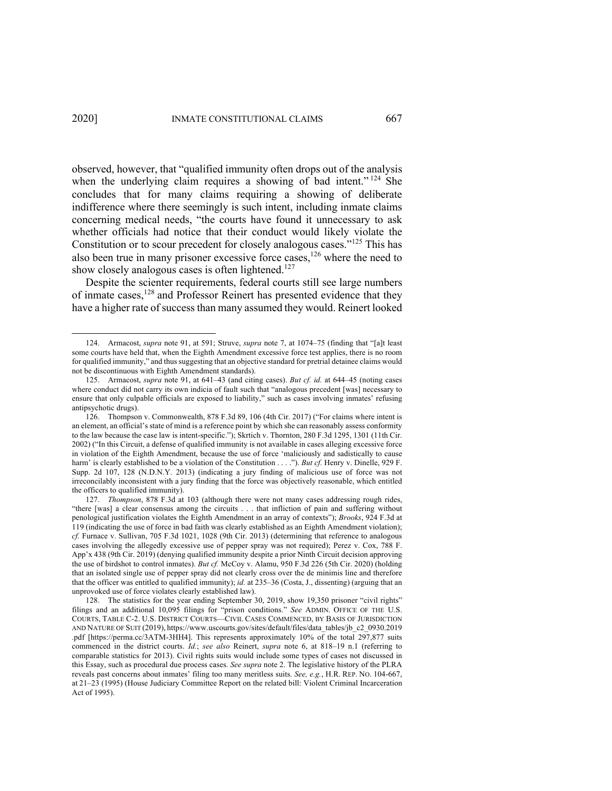observed, however, that "qualified immunity often drops out of the analysis when the underlying claim requires a showing of bad intent."<sup>124</sup> She concludes that for many claims requiring a showing of deliberate indifference where there seemingly is such intent, including inmate claims concerning medical needs, "the courts have found it unnecessary to ask whether officials had notice that their conduct would likely violate the Constitution or to scour precedent for closely analogous cases."<sup>125</sup> This has also been true in many prisoner excessive force cases, $126$  where the need to show closely analogous cases is often lightened.<sup>127</sup>

Despite the scienter requirements, federal courts still see large numbers of inmate cases,<sup>128</sup> and Professor Reinert has presented evidence that they have a higher rate of success than many assumed they would. Reinert looked

<sup>124.</sup> Armacost, *supra* note 91, at 591; Struve, *supra* note 7, at 1074–75 (finding that "[a]t least some courts have held that, when the Eighth Amendment excessive force test applies, there is no room for qualified immunity," and thus suggesting that an objective standard for pretrial detainee claims would not be discontinuous with Eighth Amendment standards).

<sup>125.</sup> Armacost, *supra* note 91, at 641–43 (and citing cases). *But cf. id.* at 644–45 (noting cases where conduct did not carry its own indicia of fault such that "analogous precedent [was] necessary to ensure that only culpable officials are exposed to liability," such as cases involving inmates' refusing antipsychotic drugs).

<sup>126.</sup> Thompson v. Commonwealth, 878 F.3d 89, 106 (4th Cir. 2017) ("For claims where intent is an element, an official's state of mind is a reference point by which she can reasonably assess conformity to the law because the case law is intent-specific."); Skrtich v. Thornton, 280 F.3d 1295, 1301 (11th Cir. 2002) ("In this Circuit, a defense of qualified immunity is not available in cases alleging excessive force in violation of the Eighth Amendment, because the use of force 'maliciously and sadistically to cause harm' is clearly established to be a violation of the Constitution . . . ."). *But cf.* Henry v. Dinelle, 929 F. Supp. 2d 107, 128 (N.D.N.Y. 2013) (indicating a jury finding of malicious use of force was not irreconcilably inconsistent with a jury finding that the force was objectively reasonable, which entitled the officers to qualified immunity).

<sup>127.</sup> *Thompson*, 878 F.3d at 103 (although there were not many cases addressing rough rides, "there [was] a clear consensus among the circuits . . . that infliction of pain and suffering without penological justification violates the Eighth Amendment in an array of contexts"); *Brooks*, 924 F.3d at 119 (indicating the use of force in bad faith was clearly established as an Eighth Amendment violation); *cf.* Furnace v. Sullivan, 705 F.3d 1021, 1028 (9th Cir. 2013) (determining that reference to analogous cases involving the allegedly excessive use of pepper spray was not required); Perez v. Cox, 788 F. App'x 438 (9th Cir. 2019) (denying qualified immunity despite a prior Ninth Circuit decision approving the use of birdshot to control inmates). *But cf.* McCoy v. Alamu, 950 F.3d 226 (5th Cir. 2020) (holding that an isolated single use of pepper spray did not clearly cross over the de minimis line and therefore that the officer was entitled to qualified immunity); *id.* at 235–36 (Costa, J., dissenting) (arguing that an unprovoked use of force violates clearly established law).

<sup>128.</sup> The statistics for the year ending September 30, 2019, show 19,350 prisoner "civil rights" filings and an additional 10,095 filings for "prison conditions." *See* ADMIN. OFFICE OF THE U.S. COURTS, TABLE C-2. U.S. DISTRICT COURTS––CIVIL CASES COMMENCED, BY BASIS OF JURISDICTION AND NATURE OF SUIT (2019), https://www.uscourts.gov/sites/default/files/data\_tables/jb\_c2\_0930.2019 .pdf [https://perma.cc/3ATM-3HH4]. This represents approximately 10% of the total 297,877 suits commenced in the district courts. *Id.*; *see also* Reinert, *supra* note 6, at 818–19 n.1 (referring to comparable statistics for 2013). Civil rights suits would include some types of cases not discussed in this Essay, such as procedural due process cases. *See supra* note 2. The legislative history of the PLRA reveals past concerns about inmates' filing too many meritless suits. *See, e.g.*, H.R. REP. NO. 104-667, at 21–23 (1995) (House Judiciary Committee Report on the related bill: Violent Criminal Incarceration Act of 1995).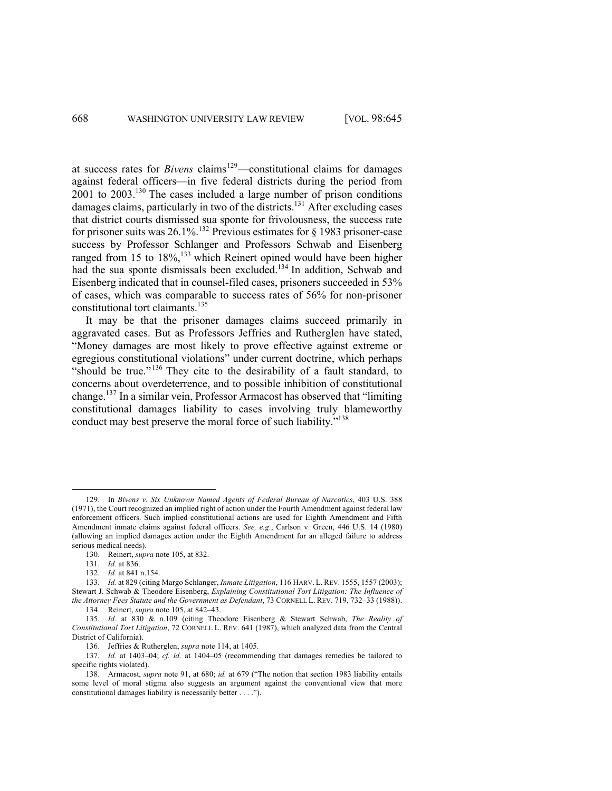at success rates for *Bivens* claims<sup>129</sup>—constitutional claims for damages against federal officers—in five federal districts during the period from 2001 to 2003.130 The cases included a large number of prison conditions damages claims, particularly in two of the districts.<sup>131</sup> After excluding cases that district courts dismissed sua sponte for frivolousness, the success rate for prisoner suits was  $26.1\%$ .<sup>132</sup> Previous estimates for § 1983 prisoner-case success by Professor Schlanger and Professors Schwab and Eisenberg ranged from 15 to  $18\%,^{133}$  which Reinert opined would have been higher had the sua sponte dismissals been excluded.<sup>134</sup> In addition, Schwab and Eisenberg indicated that in counsel-filed cases, prisoners succeeded in 53% of cases, which was comparable to success rates of 56% for non-prisoner constitutional tort claimants. 135

It may be that the prisoner damages claims succeed primarily in aggravated cases. But as Professors Jeffries and Rutherglen have stated, "Money damages are most likely to prove effective against extreme or egregious constitutional violations" under current doctrine, which perhaps "should be true."<sup>136</sup> They cite to the desirability of a fault standard, to concerns about overdeterrence, and to possible inhibition of constitutional change.<sup>137</sup> In a similar vein, Professor Armacost has observed that "limiting constitutional damages liability to cases involving truly blameworthy conduct may best preserve the moral force of such liability."138

<sup>129.</sup> In *Bivens v. Six Unknown Named Agents of Federal Bureau of Narcotics*, 403 U.S. 388 (1971), the Court recognized an implied right of action under the Fourth Amendment against federal law enforcement officers. Such implied constitutional actions are used for Eighth Amendment and Fifth Amendment inmate claims against federal officers. *See, e.g.*, Carlson v. Green, 446 U.S. 14 (1980) (allowing an implied damages action under the Eighth Amendment for an alleged failure to address serious medical needs).

<sup>130.</sup> Reinert, *supra* note 105, at 832.

<sup>131.</sup> *Id.* at 836.

<sup>132.</sup> *Id.* at 841 n.154.

<sup>133.</sup> *Id.* at 829 (citing Margo Schlanger, *Inmate Litigation*, 116 HARV. L. REV. 1555, 1557 (2003); Stewart J. Schwab & Theodore Eisenberg, *Explaining Constitutional Tort Litigation: The Influence of the Attorney Fees Statute and the Government as Defendant*, 73 CORNELL L. REV. 719, 732–33 (1988)). 134. Reinert, *supra* note 105, at 842–43.

<sup>135.</sup> *Id.* at 830 & n.109 (citing Theodore Eisenberg & Stewart Schwab, *The Reality of Constitutional Tort Litigation*, 72 CORNELL L. REV. 641 (1987), which analyzed data from the Central District of California).

<sup>136.</sup> Jeffries & Rutherglen, *supra* note 114, at 1405.

<sup>137.</sup> *Id.* at 1403–04; *cf. id.* at 1404–05 (recommending that damages remedies be tailored to specific rights violated).

<sup>138.</sup> Armacost, *supra* note 91, at 680; *id.* at 679 ("The notion that section 1983 liability entails some level of moral stigma also suggests an argument against the conventional view that more constitutional damages liability is necessarily better . . . .").